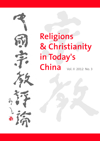

# **Religions & Christianity in Today's**  China **Vol. II** 2012 No. 3

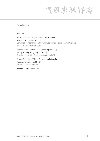中國宗教评論

# **Contents**

Editorial | 2

News Update on Religion and Church in China March 22 to June 29, 2012 | 3 Compiled by Katharina Feith, Jan Kwee, Simon Rettig, Martin Welling, and Katharina Wenzel-Teuber

Interview with His Eminence Cardinal John Tong, Bishop of Hong Kong, July 17, 2012 | 24 Questions asked by Prof. Hans Waldenfels SJ

People's Republic of China: Religions and Churches Statistical Overview 2011 | 29 Katharina Wenzel-Teuber

Imprint – Legal Notice | 55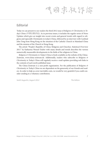气雨宗教评論

# **Editorial**

Today we can present to our readers the third 2012 issue of *Religions & Christianity in Today's China* (中国宗教评论). As in previous issues, it includes the regular series of News Updates which give an insight into recent events and general trends with regard to religions and especially Christianity in today's China, followed by an interview with Cardinal John Tong from Hong Kong on the situation of the Catholic Church in Mainland China and the mission of the Church in Hong Kong.

The article "People*'*s Republic of China: Religions and Churches. Statistical Overview 2011" by Katharina Wenzel-Teuber with many details and trends describes the various numerically measurable developments in the fields of the religions in China.

*Religions & Christianity in Today's China* is freely available on the website of the China-Zentrum, www.china-zentrum.de. Additionally, readers who subscribe to *Religions & Christianity in Today's China* will regularly receive e-mail updates providing web links to the contents of each newly published issue.

The China-Zentrum is a non-profit organization. For the publication of *Religions & Christianity in Today's China* we are dependent on the generosity of our friends and readers. In order to help us cover inevitable costs, we would be very grateful if you could consider sending in a voluntary contribution.

*Sankt Augustin, August 2012 The Editors*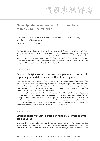气雨宗教存裕

# **News Update on Religion and Church in China March 22 to June 29, 2012**

*Compiled by Katharina Feith, Jan Kwee, Simon Rettig, Martin Welling, and Katharina Wenzel-Teuber Translated by David Streit*

*The "News Update on Religion and Church in China" appears regularly in each issue of* Religions & Christianity in Today's China (RCTC)*. Since the editorial staff learns of some items only later, it can happen that there are chronological overlaps between "News Updates" of two consecutive issues of RCTC. In these cases stories referred to in earlier "News Updates" will not be repeated. All "News Updates" can be found online at the website of the China-Zentrum (www.china-zentrum.de). – The last "News Update" (2012, No. 2, pp. 3-19) covered the period December 2011 – March 2012.*

**March 22, 2012:**

## **Bureau of Religious Affairs meets on new government document regulating the social welfare activities of the religions**

Under the chairmanship of Wang Zuo'an, Director of the State Administration of Religious Affairs (SARA), representatives of the national organizations of the five great religions studied the document "Views on Encouraging Religious Groups to Carry Out Charitable Activities and the Regulation of the Same," released jointly on Feb. 16, 2012 by the SARA together with the United Front Department of the Communist Party of China and various state ministries.

Liu Yuanlong, Vice Chairman of the Patriotic Association of the Chinese Catholic Church, declared at the meeting that the Commission on Philanthropy of the Patriotic Association, and the [official] Episcopal Conference should develop their role as a "platform" for the common efforts of local Catholic social service organizations. Furthermore, the SARA called for the preparation of the "Social Welfare Week of the Religions" planned for this year (www.catholicchurchinchina.org – March 29; for the German translation of the "Views" see *China heute* 2012, No. 2, pp. 98-102).

**March 22, 2012:**

## **Vatican Secretary of State Bertone on relations between the Vatican and China**

In an interview with the Italian newspaper *La Stampa*, Vatican Secretary of State Tarcisio Cardinal Bertone commented as follows on the future of the Vatican's relationships with Beijing: "To start with, contacts with China exist, and dialogue has not been broken off, although at times it is difficult and has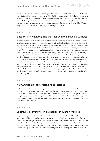its 'ups and downs.' The Catholic community in China lives, prays, and loves the Pope and the Church, and is intimately connected to the universal Church. Many ecclesiastical or Catholic institutions have relations of a high cultural value with the Chinese institutions. All this can only be of benefit to the relations with Beijing. Looking at the progress already made, one cannot rule out, but rather can foresee, and must encourage, a positive encounter between the Catholic Church, in its peaceful and humanizing mission, and the great Chinese people" (*La Stampa*, March 22).

**March 25, 2012:**

## **Elections in Hong Kong: The churches demand universal suffrage**

In the run-up to the election of the new Chief Executive of Hong Kong on March 25, Christian churches raised their voices in support of the introduction of universal suffrage in the election of the Chief Executive as well as of the entire Legislative Council. Under the current system, entrepreneur Leung Chun-ying was elected with 689 out of 1,200 votes of the men and women electors, who are drawn mostly from the business world and from pro-Beijing groups. Leung has the support of the central government in Beijing. On March 23, the Hong Kong Christian Council held a prayer meeting in protest against the undemocratic elections. Cardinal John Tong Hon also called on people to pray on March 25 for direct elections before 2017, the year in which the citizens of Hong Kong are scheduled to be allowed to elect the Chief Executive in a direct vote. The newly elected Chief Executive is supposed to initiate this process. The Catholic weekly magazine, the *Sunday Examiner*, came out sharply in support of greater democracy and of direct elections: "Under this system, whoever is elected will lack legitimacy in the eyes of the public." 2,000 protesters – including Christians – had spent the night outside the election venue. Pandemonium broke out when they attempted to storm the center (*AsiaNews* March 26; *ENI* March 23; *Sunday Examiner* March 24; April 7; www.faz.net March 25; see also *RCTC* 2012, No. 2, p. 15).

**March 25, 2012:**

## **New Anglican Bishop of Hong Kong installed**

In the presence of 22 Anglican bishops from Asia, Europe, and North America, Andrew Chan Auming of Western Kowloon Diocese was installed as the new Anglican Bishop of Hong Kong on March 25 in St. John's Cathedral. With him, there are now three active bishops in the Anglican Church of Hong Kong. Chan was ordained a priest in 1992 and completed his M.A. in Pastoral Theology at the University of London in 2004. The following year he was appointed the first Chinese pastor of St. John's Cathedral (*UCAN* March 27).

**March 26, 2012:**

#### **Controversies over priestly ordinations in Yunnan Province**

Despite warnings and criticism both inside and outside China, Bishop Joseph Ma Yinglin of Kunming (not recognized by Rome), who is also the chairman of the official Chinese Bishops' Conference, ordained six young men priests in the Sacred Heart Cathedral in Dali. Among the 16 concelebrants there were also an American Maryknoll priest studying in Dali as well as two Korean Benedictines, whose order is supporting the minor seminary of Dali. Their participation caused much criticism. The newly ordained belong to the Dioceses of Dali and Kunming as well as to the Apostolic Prefecture of Zhao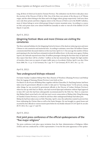tong, all three of which are located in Yunnan Province. The ordination was the first to take place since the erection of the Diocese of Dali in 1946. One of the three new priests of the diocese is of Tibetan origin, and the others belong to the Miao and to the Jingpo ethnic groups respectively. Until now, there were only three priests and three religious sisters in the Diocese of Dali to serve the 80,000 Catholics, most of whom belong to seven tribal groups living in remote mountain areas. According to a source in Dali, each priest must cover almost 60,000 km annually in order to visit all of the faithful (*UCAN*  March 13 and 28).

**April 4, 2012:**

## **Qingming Festival: More and more Chinese are visiting the cemeteries**

The three national holidays for the Qingming Festival in honor of the dead are inducing more and more Chinese to visit cemeteries and memorial sites. According to estimates, more than 520 million Chinese commemorated their deceased relatives in this way from April 2 to 5. One year ago the number of those participating in the rites had been estimated at about 60 million fewer. As the state news agency Xinhua reports, the railroads reported more than 20 million passengers during the first three days of April and they expect that there will be a further 7 million on the last memorial day. Despite the high number of travelers, there were no reports of major traffic jams or of accidents (*Xinhua* April 4; see also *China heute* 2008, No. 1-2, p. 15 [in German]; No. 3, pp. 76-77 [in German]; *RCTC* 2011, No. 1, p. 13).

**April 8, 2012:**

#### **Two underground bishops released**

On Easter Sunday Coadjutor Bishop Peter Shao Zhumin of Wenzhou (Zhejiang Province) and Bishop Peter Jin Lugang of Nanyang (Henan Province) were both set free.

On March 19, the 49 year old Bishop Shao, together with his Chancellor, Fr. Paul Jiang Sunian, had been taken away by government officials in order to take part in "learning classes." In the process, among other things, he was escorted by government officials to the Diocese of Leshan (Sichuan Province) where he met up with Paul Lei Shiyin, who had received Episcopal ordination without Papal approval in June 2011 and who had been subsequently excommunicated by the Holy See. There is conjecture that Bishop Shao's arrest had to do with last year's secret consecration of Bishop John Wang Ruowang of Tianshui (Gansu Province), in which he and four other underground bishops had taken part. Bishop Jin had been taken away on Holy Thursday, April 4, since the authorities wanted to prevent him from celebrating the Chrism Mass as well as the Easter liturgies. He was brought to a guest house and escorted by four officials to various tourist spots before he was finally released (*UCAN* April 16; see also

**April 9, 2012:**

*RCTC* 2012, No. 2, pp. 6-7 and 19).

## **First joint press conference of the official spokespersons of the "five major religions"**

The press conference took place upon invitation from the State Administration of Religious Affairs (SARA) and was conducted by a SARA representative. It was the first joint appearance of the spokes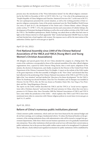persons since the introduction of the "Press Information System" for the official religious communities by the SARA in December of 2011 (cf. *RCTC* 2012, No. 2, p. 7; for a list of the spokespersons see "People's Republic of China: Religions and Churches. Statistical Overview 2011" in this issue of *RCTC*). The new spokespersons presented the current situation, as well as the working priorities of their respective religious communities. Some of the points mentioned were the Third Buddhist World Forum (see entry of April 26-27), the development of the Daoist and a Chinese-Islamic culture (*Zhongtu yisilan wenhua* 中土伊斯兰文化), the autonomous election and consecration of Catholic bishops, the development of Protestant theological thinking, as well as the social welfare activities of the YMCA and the YWCA. The Buddhist spokesperson, Master Puzheng, was asked about an affair that had come to light on the Chinese internet in which apparently "false" monks had deposited 100,000 Yuan in a bank and had checked into a hotel together with women. His response was to call for the intervention of the authorities (*Xinhua* April 9; www.sara.gov.cn April 9).

#### **April 15–16, 2012:**

## **First National Assembly since 1949 of the Chinese National Associations of the YMCA and YWCA (Young Men's and Young Women's Christian Associations)**

180 delegates and special guests from all over China attended the congress in a Beijing hotel. The events of the conference corresponded to those of the national assemblies of the other official religious organizations: first, a speech by SARA Director Wang Zuo'an, then a work report, adaptation of the statutes, the election of chairpersons, and, finally, reception by the Director of the United Front Work Department of the Chinese Communist Party, Du Qinglin. A report on the website of the SARA spoke of the great importance of this first assembly of delegates in the "New China" and declared that they had reflected on the positioning of the Chinese National Associations of the YMCA and YWCA in the light of the "new situation" and had clarified the "direction of its future development." For the YMCA, Pastor Xu Xiaohong was elected President, Chen Xin Vice-President, and Tu Hanqiao was installed as Director. For the YWCA, Mrs. Jin Wei was chosen as President, Pastor Mrs. Gao Ying as Vice-President, and Mrs. Yang Mingming as Director.

The report on the SARA website described the YMCA and the YWCA as "social service organizations with a Christian character" and more than 100 years' presence in China, where they now have a presence in 10 Chinese cities. Since November 2009 the National Associations of YMCA and YWCA have come within the jurisdiction of the SARA – which explains why YMCA and YWCA have been mentioned more often in connection with Chinese religious policies in recent times (www.sara.gov.cn April 14, 15, and16).

**April 16, 2012:**

## **Reform of China's numerous public institutions planned**

China's extensive public institutions, which until now have been financed by the national budget and do not have earnings, are to undergo a fundamental reform. To reduce the financial burden on the government, of the existing institutions those with administrative roles will be turned or merged into government departments, while those which execute business operations are to be gradually transformed into enterprises. Those other institutions which provide social services will retain their current status as public institutions, but in the process their public welfare nature needs to be strengthened. It is planned that an efficient, clearly defined and regulated mechanism for public institutions will be established by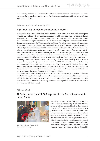2020, whereby efforts will be particularly focused on improving the social welfare system as a whole and on equalizing social services between rural and urban areas and among different regions (*Xinhua*  April 16 and 17, 2012).

**Between April 19 and June 20, 2012:**

## **Eight Tibetans immolate themselves in protest**

As they did so, they demanded freedom for Tibet and the return of the Dalai Lama. With the exception of one 36 year old housewife and mother and one man over 50, most of the eight – of whom six died on the day they set fire to themselves – were young men in their early twenties. Three of the self-immolations occurred in the Ngaba Prefecture of Sichuan Province, three in Qinghai Province, and for the first time there were also two in the Tibetan capital city of Lhasa. According to reports, the self-immolation of two young Tibetans near the Jokhang Temple in Lhasa on May 27 triggered tightened restrictions, with checkpoints around the temple and the stationing of security forces in the other temples of Lhasa. It led to a considerable number of arrests, apparently mainly in an attempt to filter out and expel Tibetans from outside the Tibet Autonomous Region (i.e., from Sichuan, Qinghai, and Gansu) who were present in the area without residence permits. In connection with the self-immolations and other protests, in recent months Tibetans were also arrested in other places or were given prison sentences.

According to one statistic of the International Campaign for Tibet, since February 2009, 41 Tibetans have set themselves on fire (of whom 40 since March 16, 2011). 31 of the 41 are known to have died as a result of their burns. Of the 41, 35 were men. 25 of the 41 were from the Ngaba (Chinese: Aba) Autonomous Tibetan and Qiang Prefecture in the north of Sichuan Province, which has thus become the epicenter of the wave of self-immolations. Among the Tibetans who set themselves on fire, 7 were monks and 9 were former monks of the Kirti Monastery in Ngaba.

The Chinese media, which also reported on the self-immolations, repeatedly accused the Dalai Lama and the "Dalai clique" of inciting them. The Tibetan government in exile rejected the accusations and claimed that the self-immolations were in fact the direct result of Beijing's own policies on Tibet (lists at www.tibetoffice.ch and www.savetibet.org; numerous other reports in the media, see *TibetInfoNet News Digest* for this time period).

**April 19, 2012:**

## **At Easter, more than 22,000 baptisms in the Catholic communities of China**



A Baptism in China – Easter 2012. Photo: www.xinde.org.

According to a report of the Faith Institute for Cultural Studies in Shijiazhuang, which annually collects relevant data and publishes it in the newspaper *Xinde* (*Faith*), this past Easter 22,104 baptisms were performed in 101 different dioceses. More than 75% of those baptized were adults. Many other baptisms occur as well, however, at different times of the year, and those have not yet been integrated into the statistics. In addition, by the reporting deadline of April 19, a number of communities had not yet submitted their reports. The figures for the individual cities and provinces respectively appear as follows: Beijing 500;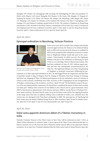Shanghai 379; Tianjin 116; Chongqing 1,200; Liaoning 726; Heilongjiang 475; Jilin (two parishes) 75; Hebei 4,410; Shanxi 1,819; Inner Mongolia 852; Shaanxi 1,748; Gansu 198; Qinghai 13; Ningxia 87; Xinjiang 20; Henan 1,274; Hubei 376; Hunan 202; Jiangxi 156; Shandong 1,289; Jiangsu 385; Anhui 137; Zhejiang 1,122; Fujian 721; Sichuan 1,534; Guizhou 160; Yunnan 178; Tibet 3; Guangdong 1,427; Guangxi 514; and Hainan 8; making a grand total of 22,104. The number of baptisms in Hong Kong amounted to 3,500. At Easter in the three Chinese communities of New York City a total of 154 persons were baptized and 216 were confirmed (*AsiaNews* April 7; *Fides* April 12 and 20; *Hong Kong Sunday Examiner* April 7; *Vatican Information Service* April 24; *Xinde* April 20).

**April 19, 2012:**

# **Episcopal ordination in Nanchong, Sichuan Province**



Bishop Chen Gong'ao, photographed when he was still a priest. Photo: *UCAN*.

Forty-seven year old Fr. Joseph Chen Gong'ao had already received approval from the Vatican to be ordained bishop back in 2002 and was elected in the diocese as candidate in 2010, but he postponed the ordination ceremony to ensure that no illegitimate bishop would take part in the consecration. Unfortunately, he didn't succeed. Five legitimate bishops took part in the ordination in Nanchong on April 19 but so, too, did Msgr. Paul Lei Shiyin from Leshan, who had been ordained on June 29, 2011 without papal mandate and who was subsequently excommunicated by the Holy See. The legitimate bishops were Peter Fang Jianping of Tangshan as principal consecrator (following his par-

ticipation in an illicit episcopal ordination in 2011, he had begged Rome for forgiveness and had been reconciled), Joseph Li Jing of Ningxia, Paul He Zeqing of Wanzhou, Paul Xiao Zejiang of Guiyang, and Peter Luo Xuegang of Yibin. Lei Shiyin's participation in the rite unleashed a storm of criticism in China as well as abroad. Archbishop Savio Hon, Secretary of the Congregation for the Evangelization of Peoples, commenting on the incident to *AsiaNews* (April 19) said: "He had failed to respect the person of the new bishop and the community. He should have considered the needs of others and certainly not taken part." Bishop Chen is known for his fidelity to the Church and as a good missionary. Since 2005 he functioned as administrator of the diocese and since 2008 he was the Rector of Sichuan Province's major seminary. He states that the major focus for his future work will be the ongoing formation of the clergy and of the laity. In addition, Bishop Chen would like to build a new cathedral since the current one was damaged in the Wenchuan earthquake in 2008. The episcopal see of Nanchong had been vacant since the death of Bishop Huang Woze in 2004 (*AsiaNews* April 18 and 19; *Sunday Examiner* April 28; *UCAN* April 17 and 19; www.vaticaninsider.com April 18 and 19).

#### **April 20, 2012:**

## **Dalai Lama appoints American abbot of a Tibetan monastery in India**

Nicholas Vreeland, Director of the Tibet Center in New York, will be enthroned on July 7, 2012, as Abbot of Rato Monastery in southern India. A press report of the Tibet Center indicated that this is a historic moment, for it is the first time that a Westerner will be named Abbot of an important Tibetan monastery. In an interview, Vreeland explained that the Dalai Lama wants to bring Western ideas into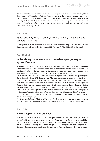the monastic system of Tibetan Buddhism, since he recognizes that new air needs to be brought into these institutions. Vreeland, son of a U.S. diplomat and himself a photographer, became a monk in 1985 and underwent his monastic formation in the Rato Monastery. In 1998 he was awarded a Geshe degree. The original Rato Monastery was founded near Lhasa in the 14th century. In 1983 it was re-founded in exile in India (www.huffingtonpost.com June 27; www.nicholasvreeland.com; www.pbs.org June 15; www.thetibetcenter.org May 10).

**April 24, 2012:**

## **450th birthday of Xu Guangqi, Chinese scholar, statesman, and convert (1562–1633)**

This important man was remembered in his home town of Shanghai by politicians, scientists, and Church representatives (see also *China heute* 2012, No. 2, pp. 75-76 and 111-118 [in German]).

#### **April 24, 2012:**

## **Indian state government drops criminal conspiracy charges against Karmapa**

According to an official of the Home Office of the northern Indian State of Himachal Pradesh in a conversation with *AFP*, the police and state district attorney had no material evidence to pursue the indictment. On May 21 the court approved the decision of the government to remove his name from the charge sheet. The trial against nine others accused in the case will continue.

On December 7, 2011, the State of Himachal Pradesh brought charges of criminal conspiracy against Ogyen Trinley Dorje, the 17th Karmapa Lama. The background to the accusations was the discovery during a raid on January 28, 2011, of cash in various currencies (among them Chinese RMB) valued at more than 1 million \$US in the Gyuto Monastery in Dharamsala, residence in exile of the 26 year old Karmapa. Following this event, the Indian media circulated the suspicion that the Karmapa, who had fled from the PR China to India in 1999, was a Chinese spy (cf. *RCTC* 2011, No. 1, p. 6-7). He himself denied this and his office explained that the monies found were in reality the free-will offerings given by the faithful (including offerings from Tibetans from the People's Republic of China). In January of 2011 Xu Zhitao of the United Front Department of the Communist Party of China had also rejected the accusation of espionage.

The Karmapa is the leader of the Karma Kagyu school and, as such, is one of the highest ranking leaders of Tibetan Buddhism (*AFP* April 24; *Global Times* April 25; *IANS* April 24; May 21; *Phayul* April 24).

**April 25, 2012:**

#### **New Bishop for Hunan ordained**

Fr. Methodius Qu Ailin was ordained bishop on April 25 in the Cathedral of Changsha, the province capital. The 51 year-old bishop is recognized by both Rome and by the Chinese government. Bishop Joseph Li Shan of Beijing was the principal consecrator. Other bishops concelebrating were John Lu Peisen of Yanzhou (Shandong), John Baptist Li Suguang of Nanchang (Jiangxi), Paul Liang Jiansen of Jiangmen (Guangdong), and John Baptist Tan Yanquan of Nanning (Guangxi), all of whom are rec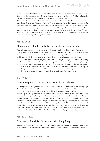ognized by Rome. As had occurred at the ordination in Nanchong (see entry above for April 19), this time, too, an illegitimate bishop took part in the ceremony, Joseph Liu Xinhong of Wuhu (Anhui), who had been ordained bishop without the approval of the Holy See in 2006.

Bishop Qu Ailin was named administrator of the Diocese of Hunan in 1999. The see had been vacant since the death of Bishop Simon Qu Tianxi of Changsha in 2000. From the Vatican's perspective, the Province of Hunan has four dioceses and five apostolic prefectures. In 1991 the official Church authorities carried out a restructuring into six dioceses, and in 1999 merged them into Hunan Diocese. Since Rome did not recognize these administrative changes, Bishop Qu is considered to be Bishop of Changsha and administrator of all the other Church territories in the province. Only 200 faithful attended the consecration ceremony (*UCAN* April 23 and 25).

**April 26, 2012:**

## **China reveals plan to multiply the number of social workers**

China plans to increase the number of social workers to 1.45 million by the year 2020. That is an extraordinarily ambitious goal considering that the country only has slightly more than 200,000 social workers at present. Furthermore, it would clearly seem to outstrip the capabilities of the existing educational establishments, which confer only 20,000 master degrees in social work annually. Li Liguo, Minister of Civil Affairs, told the state news agency *Xinhua* that "the range of colleges and universities training social workers will be expanded." In order to obtain qualified social workers, Li promised higher wages as well as preferential treatment for well-trained professionals. According to him, this way the number of social workers will increase to half a million by 2015, before being almost tripled in the ensuing five years. This goal was confirmed on April 26 when party and government officials published their "Longterm plan (2011–2020) for developing a national social work system" (*Xinhua* May 9).

**April 26, 2012:**

#### **Communiqué of Vatican's China Commission released**

The fifth plenary meeting of the Commission for the Catholic Church in China established by Pope Benedict XVI in 2007 was held at the Vatican from April 23–25, 2012. The aim of the commission is to study questions of importance concerning the life of the Catholic Church in China. Among the approximately 30 participants were leaders of the Roman dicasteries, Chinese bishops from Hong Kong, Macau, and Taiwan, as well as representatives of religious orders. At the end of the gathering the commission released a communiqué entitled "May the Face of the Church Shine Forth with Clarity in the Midst of the Noble Chinese People." The principal theme of the meeting were the tasks and formation of the lay faithful in China, in view also of the upcoming "Year of Faith." In addition, they discussed, among other things, problems associated with the illicit consecration of bishops as well as the ongoing formation of priests, seminarians, and religious sisters (*UCAN* May 10; *Vatican Information Service VIS* April 21 and 26; *Vatican Insider* May 1; for the text of the communiqué, see www.vatican.va).

**April 26–27, 2012:**

## **Third World Buddhist Forum meets in Hong Kong**

Approximately 1,000 Buddhist monks, nuns, lay people, and scholars from 50 countries met to discuss in lectures and 7 sub-forums the main theme "Common Aspirations and Actions toward a Harmoni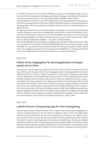ous World". The organizers were the Chinese Buddhist Association, the Hong Kong Buddhist Association, and the Chinese Association for Religious and Cultural Exchange with its Director Wang Zuo'an, who is at the same time Director of the State Administration of Religious Affairs (SARA).

At the opening of the Forum, the 22 year old official Panchen Lama, appointed by the Chinese government (but not recognized by the Dalai Lama), held his first public discourse outside Mainland China, something which observers interpreted as an attempt on the part of China to create international recognition for him.

In conjunction with the Forum, a relic of the Buddha, a skull fragment excavated in 2010 at the Qixia Temple in Nanjing, was exposed in the Hong Kong Coliseum for the veneration of the faithful. According to Master Xuecheng, Vice-Chairman of the Chinese Buddhist Association, the relic should bring good luck and blessings to the citizens of Hong Kong on the occasion of the 15th anniversary of their return to China. The Forum also adopted a – very general – final declaration.

The First World Buddhist Forum took place in Hangzhou and Putuoshan in 2006 (cf. *China heute* 2006, No. 3, pp. 66 and 81 [in German]). The Second World Buddhist Forum was in Wuxi and Taipei in 2009 (*ibid*. 2009, No. 2, pp. 78 and 95-96 [in German]) (*South China Morning Post* April 27; *Xinhua* April 26 and 27; www.longquanzs.org March 27; www.sara.gov.cn/ztzz/dsjsjbjlt2012/ [= sub-page on the Forum at the website of the SARA. The text of the final declaration can also be found there]).

#### **May 2012:**

## **Prefect of the Congregation for the Evangelization of Peoples speaks out on China**

In an interview with the Catholic periodical *30 Giorni* (2012, No. 5) Cardinal Fernando Filoni, who in May of 2011 became the leader of the Vatican Congregation which is also responsible for the Chinese Church, spoke out on a number of topics, among which was the question of episcopal consecrations in China. People need to stop seeing bishops as officials, he said, or else everything will remain conditioned by a political vision. For bishops, other selection criteria are needed than for party or government officials; this must be respected, the Cardinal said. Naturally, as citizens bishops need to be loyal to their homeland, "giving to Caesar what is Caesar's, but not at the expense of giving to God what is God's. As successors of the apostles, it is required of them to be faithful in all things to the Church's doctrine. This is not an 'order' of the Pope. The faithful want it first of all. It is the faithful who actually then judge the suitability and dignity of their own bishops," Filoni explained. According to him, the people of God in China has "an extraordinary *sensus fidei,* purified by years of suffering" (*Vatican Insider* June 20; text of the interview can be found at www.30giorni.it/articoli\_id\_78430\_l1.htm).

#### **May 2012:**

## **Catholic Church in Hong Kong prays for Chen Guangcheng**

After four years in prison, followed by house arrest, on April 22 the dissident Chen Guangcheng succeeded in escaping. Protection in the U.S. Embassy in Beijing was given to Chen, who fights against forced abortions and sterilization. On May 2 he was transferred to a hospital in the company of a diplomat. On May 19 Chen was to be allowed to leave for the United States with his wife and two children. The Catholic Church in Hong Kong called on local priests to include Chen in their prayers during all Masses from April 28 to May 6. They also supported his claims that the officers who had tortured him physically during his detention should be punished, that his family should be ensured safety, and that corruption among officials should be stopped. The Justice and Peace Commission of Hong Kong Dio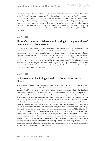cese also condemned the abuse suffered by Chen and urged the Chinese Catholic Patriotic Association to pray for him. The commission expected from Bishop Fang Xingyao, bishop in Chen's hometown of Linyi, not to stay silent in the face of government pressure, but to support Chen: The Chinese Church should fight not only for religious freedom, but also for the personal rights of the people. Zhang Mingxuan, a prominent Protestant house church pastor in Henan Province, pointed out: Chen is not a Christian, but we Chinese Christians pray for all those in pursuit of the truth" (*ENI* May 1; *Hong Kong Sunday Examiner* May 12; *South China Morning Post* May 10; *Taipei Times* May 20; *The Wall Street Journal* May 5).

**May 7, 2012:**

## **Bishops' Conference of Taiwan met in spring for the promotion of permanent, married deacons**

During their spring gathering, the regional Bishops' Conference of Taiwan decided to promote the office of permanent, married deacons in order to help meet the problems of the generally advanced age of the clergy and the overall lack of priests. Since Taiwan, unlike Hong Kong and Macau, has no experience with married deacons, the Archdiocese of Taipei will start up an appropriate pilot project. In future, these permanent deacons will be assigned above all in the more than 600 communities of the island which are currently without priests. Furthermore, on completion of philosophy and theology, they should also be encouraged to go on for another degree, so that they can be useful in specific areas of the Church for which priests are not necessarily suitable, such as financial management, information technology, construction, etc. (*Fides* May 7).

**May 9, 2012:**

## **Vatican communiqué triggers backlash from China's official Church**

In response to the communiqué issued following the plenary meeting of the Vatican's China Commission (see entry of April 26), on May 9 a commentary by a lay person under the pen name Xiaoyang (meaning "lamb") appeared on the joint website of the Patriotic Association and the official Bishops' Conference. It said, among other things, that the communiqué from Rome hurt the solidarity of Catholics in China and was of no benefit for the Church's pastoral and evangelical work. Some members of the Commission were accused of misunderstanding the situation of the Church in China and genuine needs of clergy and faithful. Xiaoyang cited the 100,000 persons baptized annually across the country, as well as other achievements in the pastoral and social fields, as evidence for the success of the Chinese Church and justified the Episcopal consecrations carried out independently of Rome. The commentary went on to say that the Vatican's China Commission "arrogantly places itself above the Chinese clergy, finds fault with our bishops, and destroys the unity and communion within the China Church." Alluding to the communiqué's call for prayer for the Church in China on May 24, the article also ended with a prayer to the Mother of God, so that "those people who do not understand the China Church do no more things that hurt charity and communion." One day later, Fr. Joseph Yang Yu, spokesperson of both the Patriotic Association and the Bishops' Conference, came out in support of the commentary and declared that it represented the thoughts of many Chinese Catholics. Yang defended the Chinese bishops and asserted that their consecration and the sacraments they confer are all valid and licit (*UCAN* May 11; www.catholicchurchinchina.org ).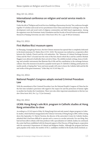**May 10–12, 2012:**

## **International conference on religion and social service meets in Nanjing**

Under the title of "Religion and Social Services: Building a Harmonious Society," the conference brought together 55 scholars and social service practitioners from China and abroad to exchange views on the development work and social work of religious communities and faith-based organizations. Among the organizers were the Protestant Amity Foundation and the Faculty of Social Sciences and Behavioral Research at Nanjing University (see also: *China heute* 2012, No. 2, pp. 83-88 [in German]).

**May 13, 2012:**

#### **First Matteo Ricci museum opens**

In Zhaoqing, Guangdong Province, the first Chinese museum has opened that is completely dedicated to the Jesuit missionary Fr. Matteo Ricci (1552–1610). The museum was realized as a cooperative effort between the Catholic Church and the civil authorities. The "Museum of Cultural Exchange between China and the West" is located near the ruins of the first church which Ricci and his confrère Michele Ruggieri were allowed to build after their arrival in China. The exhibits include writings, items of clothing, and scientific instruments that illustrate Ricci's life and his contribution to the exchange between cultures. Since the museum is located in a popular tourist spot, Fr. Gabriele Li Jiafang, parish priest of a nearby parish, is hoping that "more and more people will come to know the Catholic faith and the life and works of this great missionary" (*Fides* May 16; *UCAN* May 15).

**May 14, 2012:**

## **National People's Congress adopts revised Criminal Procedure Law**

With the amendment of the Criminal Procedure Law, the National People's Congress of China has for the first time included a provision with regard to the respect for and the protection of human rights in another law besides the Constitution. There were also other important amendments to this law (see also *China heute* 2012, No. 2, p. 72 [in German]).

**May 18, 2012:**

## *UCAN***: Hong Kong's sole M.A. program in Catholic studies at Hong Kong universities to close**

According to a *UCAN* report of May 18, Hong Kong's first and only master's degree program in Catholic studies, which had been inaugurated at the Chinese University of Hong Kong in 2005, will be closing down this September. Fr. Patrick Taveirne, the director of the university's Centre for Catholic Studies, admitted that it had been difficult to operate such a course at a secular university. For one thing, they had not been able to obtain a full-time professor with a specialization in Catholic studies, he continued; the center had been established with the financial support of the Diocese of Hong Kong in cooperation with the university's Department of Cultural and Religious Studies. Although the program had been quite popular at the outset, the number of M.A. candidates enrolled in the faculty slowly declined, ac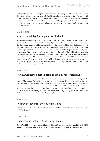cording to Professor John Lai Tsz-pang, coordinator of the M.A. program for Religious Studies. During this recent academic year there were only five M.A. candidates specializing in Catholicism, he said, for the specialties in Daoism and Buddhism, the number of candidates was even smaller, and those programs will also be terminated in September. Only the M.A. program in Protestantism will survive into the next academic year; it is run by Chung Chi College's Divinity School (*Sunday Examiner* June 2; *UCAN* May 18).

**May 20, 2012:**

## **22nd national day for helping the disabled**

As part of the 22nd national day for helping the disabled, Chinese Vice-Premier Hui Liangyu urged greater efforts to secure the basic cultural rights of people with disabilities. According to official statistics, there are more than 85 million persons in China living with a disability. Since the beginning of this current school year, more than 80,000 disabled school-age children were not able to go to school, partly because of poverty, but 56% could not do so because of their disability. The problem is especially acute in rural areas. Often the training offered is not tailored to the needs of the disabled. Local authorities are being encouraged to make home tutors available and to provide educational training for parents, as well as financial support for families who have children with disabilities. In addition, the government is increasing its efforts to create jobs for the disabled. The internet, in particular, seems to have an important role to play: more than 30,000 disabled people are currently managing online stores at the site Taobao.com (*Xinhua* May 20 and 31).

**May 22, 2012:**

## *Phayul***: Geshema degree becomes a reality for Tibetan nuns**

The decision that women may now officially obtain a Geshe degree, the highest academic degree of Tibetan Buddhism, was taken in May of this year at a meeting organized by the Department for Religion and Culture of the Tibetan government in exile in Dharamsala, at which, among others, the teachers of six women's monasteries and representatives of the Institute for Buddhist Dialectic Studies took part. A spokesperson for the ministry explained that for years the Dalai Lama has been a strong supporter of the Geshema degree. On August 21, 2011, the nun Kelsang Wangmo, originally from Germany, was the first woman to earn the Geshe title (*Phayul* May 22).

**May 24, 2012:**

## **The Day of Prayer for the Church in China**

instituted by Pope Benedict XVI was celebrated for the 5th time (see also *China heute* 2012, No. 2, pp. 76-77 [in German]).

**May 24, 2012:**

## **Underground Bishop Li Yi of Changzhi dies**

On the World Day of Prayer for the Church in China, 88 year old Msgr. Ermenegildus Li Yi OFM, Bishop of Changzhi (Lu'an) in Shanxi Province, died. Bishop Li was born on November 13, 1923 in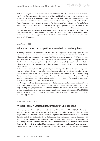the City of Changzhi and entered the Order of Friars Minor in 1943. He completed his studies of philosophy and theology at the major seminaries of Jinan and Hankou, where he was ordained a priest on February 6, 1949. After his ordination Fr. Li taught at a Catholic middle school in Macau and was also active in a parish there, where he took a particular interest in helping refugees from the North of China. From 1951 to 1955 he studied history at the University of Tianjin. From 1958 he worked as a parish priest in his home diocese of Changzhi. At the beginning of the Cultural Revolution in 1966 he was arrested and until his release in 1985 spent almost 20 years in prison. Afterwards, he was once again able to resume his pastoral activities in the churches of Anyang and Machang. On January 28, 1998, he was secretly ordained bishop of the Diocese of Changzhi, although the government refused to recognize him as bishop. Approximately 55,000 Catholics belong to the Diocese of Changzhi (*Fides*  May 31; *UCAN* May 30).

#### **May/June 2012:**

#### **Falungong reports mass petitions in Hebei and Heilongjiang**

According to the Falun Dafa Information Center (FDIC) – the press office of Falungong in New York – the readiness of the populace in China to intervene in protest against the abduction or torture of Falungong adherents is growing. In a petition dated May 31, 2012, according to a FDIC report, within two weeks 15,000 Chinese in Northeast China had signed and sealed with their thumbprint a demand that the death of the Falungong adherent Qin Yueming be investigated. Qin is believed to have died on February 26, 2011, in the Jiamusi Prison (Heilongjiang Province) as a result of torture to which he had been subjected.

Furthermore, according to the FDIC, 300 villagers of Zhouguantun (Botou, Cangzhou City, Hebei Province) had signed a petition on behalf of the Falungong adherent Wang Xiaodong, who had been arrested on February 25, 2012, although they later withdrew the petition following intimidation by the authorities. This case was also taken up by Amnesty International and, according to a Falungong source, it was discussed in the highest political circles. A further example of neighborly support is said to have occurred on June 9, 2012 in Tangshan (Hebei).

The Beijing lawyer Dong Qianhong was quoted by the Falungong-friendly newspaper *Epoch Times* as having said that the situation is improving and that meanwhile many judges and police officers are no longer treating Falungong adherents like common criminals and it seems that in recent times, at least to some extent, less severe sentences are being handed down (Amnesty International UA-152/2012, May 31; *Epoch Times* April 15; Falun Dafa Information Center May 28 and 31; June 22 and 30; cf. *RCTC* 2012, No. 1, pp. 13-14).

**May 29 to June 1, 2012:**

## **"A Workshop on Vatican II Documents" in Shijiazhuang**

After many years' delay in getting to know the Second Vatican Council (1962–1965), for the celebrations of the jubilee [50 years since the start of the Council] the Catholic Church in China has finally caught up with the universal Church – declared a representative of the organizers of the workshop, the Faith Institute for Cultural Studies in Shijiazhuang. The participants occupied themselves with the study of the various Council documents. They had come from 30 dioceses of Mainland China, and among them were 10 bishops, auxiliary bishops, bishop candidates, and diocesan administrators. There were also 50 priests as well as 33 representatives of 29 men's (!) and women's religious congregations. Among the lecturers coming from outside China there were, among others, Fr. Fang Zhirong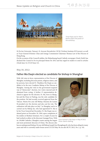

Three Popes and St. Peter's Basilica adorn the poster of the workshop.

SJ (Fu Jen University, Taiwan), Fr. Jeroom Heyndrickx CICM (Verbiest Institute KULeuven), as well as Vicar-General Dominic Chan and Liturgy Commission Chairman Thomas Law of the Diocese of Hong Kong.

On the occasion of the Council's jubilee, the Shijiazhuang based Catholic newspaper *Xinde* (*Faith*) has declared the Council to be its principal theme for 2012 and has urged its readers to send in articles (*Xinde* June 14; *UCAN* June 12).

#### **May 30, 2012:**

## **Father Ma Daqin elected as candidate for bishop in Shanghai**

With 160 votes in favor, representatives of the Diocese of Shanghai, including diocesan priests, religious sisters, and lay persons, have elected Fr. Thaddeus Ma Daqin as candidate to be the new Coadjutor Bishop of the Diocese of Shanghai. Among the votes in the government-required way of "democratic" election, two voters rejected and 28 abstained from voting. A further 15 representatives declined to appear for the election. Fr. Ma, born in Shanghai and the Dean in Pudong, was the only candidate for the position. He had recently received approval from the Vatican. Ninety-five year old Bishop Aloysius Jin Luxian SJ presided over the election and also cast his vote. The ordination will take place on July 7 in Shanghai, and is to carried out by Bishop Jin, who had appointed Fr. Ma to be his Vicar General last December. Fr. Ma Daqin was ordained priest on December 18, 1994, upon completion of his studies at Sheshan Seminary. For a couple of years he had worked as editor at the diocesan Guangqi Press. With its 150,000 Catholics, Shanghai counts among the largest and most prominent dioceses of China. The diocese also



Vicar General Fr. Ma Daqin in May of 2012. Photo: Martin Welling.

has an underground bishop, 94 year old Bishop Joseph Fan Zhongliang SJ, who has been ailing for many years and who is currently under house arrest (*UCAN* May 30; see also *RCTC* 2012, No. 2, p. 18).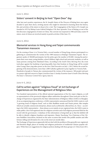#### **June 3, 2012:**

#### **Sisters' convent in Beijing to host "Open Door" day**

After last year's positive experiences, the St. Joseph's Sisters of the Diocese of Beijing have once again decided to open their doors, inviting anyone who might be interested in learning about the history, life, and activities of the sisters to drop in for a visit. The Congregation of the Sisters of St. Joseph was founded in 1872 by Bishop Louis-Gabriel Delaplace CM, then Apostolic Vicar of Beijing, as one of the first diocesan congregations of sisters in China. The convent was reopened in 1986 and today counts 50 sisters, most of whom are involved mainly in parish activities (*Fides* June 15).

**June 4, 2012:**

## **Memorial services in Hong Kong and Taipei commemorate Tiananmen massacre**

On the evening of June 4, in Victoria Park, a record number of Hong Kong citizens participated in a gathering to commemorate the victims of the 1989 massacre at Beijing's Tiananmen Square. The organizers spoke of 180,000 participants, but the police gave the number of 85,000. Among the participants there were many young families, school children, high school and university students, as well as many persons coming from Mainland China. According to the *South China Morning Post*, the event took place against the backdrop of growing public fears that freedom in Hong Kong will be eroded when Leung Chun-ying takes power as the new Chief Executive on July 1, 2012. Before the actual beginning of the demonstration, more than 1,000 Catholics gathered to pray together in Victoria Park. Hundreds of people in Taiwan also commemorated the victims of the massacre. 300 people took part in a prayer vigil and concert in Taipei (*AsiaNews* June 5; *Sunday Examiner* June 9; *South China Morning Post* June 5; *Taiwanese Central News Agency* June 4).

**June 4–5, 2012:**

## **Call to action against "religious fraud" at 1st Exchange of Experiences on the Management of Religious Sites**

Two hundred representatives of the official national organizations of the five major religions, as well as representatives of the provincial religious affairs authorities throughout China took part in this Exchange of Experiences organized by the State Administration of Religious Affairs (SARA) in Shanghai. At an accompanying press conference, a SARA representative announced that the SARA wants to curb "a growing trend of religious fraud," such as false Buddhist monks and Daoist priests, fake temples which are actually commercial enterprises, abuses such as arbitrarily collected fees, etc. Since – according to the SARA representative – these abuses occur mainly at non-registered sites, the SARA wants to make public a list of all registered sites for religious activities and of all religious personnel filed for the record with the government. A database of this information is being built up so that the faithful will be able to identify religious fraudsters and imposters. Master Xuecheng, Vice-Chairman of the Chinese Buddhist Association, declared on the same occasion that monks who peddle amulets and offer fortune-telling and divination for a fee on the street are mostly fakes.

The Exchange of Experiences apparently did not deal with the problem of the generally non-registered, and therefore illegal, places of worship and religious performers of traditional Chinese popular religion. While there are suggestions for religious policies dealing with these groups (cf. *China heute* 2011,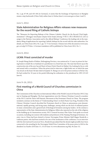No. 2, pp. 87-89, and 103-106 [in German]), it seems that the Exchange of Experiences in Shanghai means a step backwards (*China Daily* online June 6; *Xinhua* June 6; www.sara.gov.cn June 4 and 5).

**June 5, 2012:**

## **State Administration for Religious Affairs releases new measures for the record filing of Catholic bishops**

The "Measures for Reporting Bishops of the Chinese Catholic Church for the Record (Trial Implementation)" (*Zhongguo tianzhujiao zhujiao bei'an banfa* [*shixing*] 中国天主教主教备案办法 [试行]) assign to the Patriotic Association and to the official Bishops' Conference the leading role in the mandatory filing of applications for reporting Catholic bishops for the record with the state authorities. For details, see *China heute* 2012, No. 2, pp. 72-73 (in German). Chinese text of the document at www.sara. gov.cn/zcfg/15179.htm. A German translation will be published in *China heute* 2012, No. 3.

**June 8, 2012:**

## *UCAN***: Priest convicted of murder**

Fr. Joseph Shang Kanfa of Hailun, Heilongjiang Province, was sentenced to 15 years in prison for having beaten to death the ex-husband of a parishioner in a brawl last year. The man had shown up at the construction site of the new Sacred Heart of Jesus Christ Church in Hailun City, looking for his ex-wife and armed with a screwdriver. When the priest tried to intervene, a fight broke out, in which the man was struck on the head. He later died in hospital. Fr. Shang is to serve his prison sentence in Bei'an City. He had worked for 18 years in his parish following his ordination to the priesthood in 1993 (*UCAN* June 8).

**June 9–16, 2012:**

## **First meeting of a World Council of Churches commission in China**

The Commission of the Churches on International Affairs of the World Council of Churches (WCC) has met in Nanjing and Shanghai. The host organizations were the Chinese Christian Council (a member of the WCC) and the Three-Self Patriotic Movement of the Protestant Church in China. The program included a seminar on the theme of "Understanding China" at which Pastor Gao Feng, President of the Chinese Christian Council, described the Protestant church in China as autonomous, post-denominational, rapidly growing, and facing many challenges, among which are the lack of ordained pastors in many communities and a general lack of theological formation among lay leaders. At the seminar a representative of the State Administration for Religious Affairs also reported on the role of the religions in the building up of a harmonious society. WCC General Secretary Olav Fykse Tveit spoke on several occasions, including one session with students and professors of the Nanjing Theological Seminary. An entry visa to China had been denied to former Norwegian Prime Minister Kjell Magne Bondevik, a Lutheran pastor, who had been invited to be one of the moderators of the conference. In an interview with the *International Ecumenical News*, Bondevik speculated that the denial might possibly have been connected to the awarding by the Norwegian Nobel Prize Committee of the peace prize in 2010 to the dissident Liu Xiaobo (*ENI* June 15.; *UCAN* June 14; www.oikoumene.org May 30; June 15).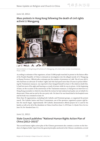**June 10, 2012:**

## **Mass protests in Hong Kong following the death of civil rights activist Li Wangyang**



Demonstrators in Hong Kong with photos of Li Wangyang, who died under unclear circumstances. Photo: *UCAN*.

According to estimates of the organizers, at least 25,000 people marched in protest to the liaison office of the People's Republic of China to demand an investigation into the alleged suicide of Li Wangyang in Hunan Province. Official police estimates put the number of protesters at 5,400. The 62 year old Li, who had been an advocate of workers' rights and who had spent more than 20 years in prison following the Tian'anmen massacre, was reported to have hanged himself on June 6. His relatives doubt this. Li had lost most of his sight and hearing as a result of torture while he was in prison. At the beginning of June, on the occasion of the anniversary of the Tian'anmen massacre, Li had given an interview to a Hong Kong journalist in which he described the torture he had endured and spoke out on behalf of a democratic China and an end to the one-party rule. On June 6 he was found dead in his hospital room and his body was cremated on June 10.

More than 30 organizations, including both Catholic and Protestant groups, co-organized the protest march. The Catholic Justice and Peace Commission, one of the sponsors, organized a prayer vigil before the march began. Approximately 100 Catholic demonstrators offered prayers for Li and for his family as well as for all of the dissidents in China (*AsiaNews* June 11; *ENI* June 11; *Kyodo News Service*  June 10; *Der Standard* June 11).

**June 11, 2012:**

## **State Council publishes "National Human Rights Action Plan of China (2012–2015)"**

This second human rights action plan of the Chinese government also contains a section on the freedom of religious belief. Apart from the general principles anchored in the Chinese constitution, several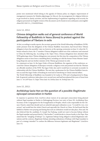points were mentioned which belong to the agenda of Chinese policy on religion: improvement of management measures for Muslim pilgrimages [to Mecca], the encouragement for religious believers to get involved in charity activities, and the implementing of regulations regarding social security for religious personnel (an English version of the document can be found at news.xinhuanet.com/english/ china/2012-06/11/c\_131645029.htm).

#### **June 12, 2012:**

## **Chinese delegation walks out of general conference of World Fellowship of Buddhists in Yeosu (Korea) to protest against the participation of Tibetans in exile**

At first, according to media reports, the secretary general of the World Fellowship of Buddhists (WFB), under pressure from the delegation of the Chinese Buddhist Association, had forced three Tibetan delegates to leave the assembly. Later on, however, at the opening ceremonies on June 12, when the Tibetans refused to leave, the 17 member Chinese delegation walked out of the conference and returned to China the following day. According to the *Taipei Times*, Chinese delegations have attended other WFB gatherings where Tibetan delegations were present, but this time the composition of the Tibetan delegation seems to have been a stumbling block, including as it did the former Prime Minister Samdhong Rinpoche and one further minister of the Tibetan government in exile.

In a statement on June 14, the Jogye Order of Korean Buddhism, the organizer of the conference, accused the Chinese delegation of disrespect towards a religious event and pointed out that the Tibetans are officially members of the WFB. The Jogye Order also said it would have to seriously reconsider its relationship with the Chinese Buddhists. The next day a spokesman for the Chinese Buddhist Association accused the Jogye Order of breaking its word and of interfering in China's internal affairs.

The World Fellowship of Buddhists was founded in Sri Lanka in 1950 and is headquartered in Bangkok. Its general conference takes place every second year, and had been planned this year at Yeosu from June 11–16 (*AFP* June 15; *Taipei Times* June 16; *Xinhua* June 16; *Yonhap* June 14).

**June 15, 2012:**

## **Archbishop Savio Hon on the question of a possible illegitimate episcopal consecration in Harbin**

In response to questions from *AsiaNews* about rumors of an episcopal consecration being planned without Papal mandate in Harbin in Heilongjiang Province (see entry of June 29), Archbishop Hon, Secretary of the Congregation for the Evangelization of Peoples, which is also responsible for the Chinese Church, stated that should such an unlawful episcopal ordination occur, "it would be very, very serious" and would hurt the whole Church and especially the Church in China. He had heard that the faithful in Harbin were praying and fasting that such an ordination would not take place, Hon said. He also believed that the candidate, Fr. Joseph Yue Fusheng, would not want to become bishop without the Papal mandate and prayed that he ["this brother"] would decide to choose loyalty to the Pope. Hon stated that the "mingling of bishops" [i.e. legitimate bishops being obliged to attend illegitimate ordinations and the contrary, illegitimate bishops attending ordinations of bishops with Papal mandate] is part of a strategy intended "to confuse the difference between legitimate and illegitimate" (*AsiaNews* June 15).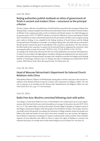**June 18, 2012:**

## **Beijing authorities publish textbook on ethos of government officials in ancient and modern China – conscience as the principal criterion**

The four-volume collection, the publication of which had been reported in the newspaper *Beijing ribao* (*Beijing Daily*), contains examples from both ancient and modern times on the theme of moral conduct of officials. It also contains proverbs as well as Confucian and Daoist maxims. It is titled *Zhongguo gu jin guande yanjiu* 中国古今官德研究 (Studies on Virtue for Officials in Ancient and Modern China) and is intended to be used as educational material for the prevention of bribery and corruption among party cadres in Beijing. It was compiled by the Beijing Academy of Social Sciences and the Beijing Communist Party's Disciplinary Committee. According to *Beijing ribao*, the textbook says in its preface that the decisive criterion for good or bad officials is the conscience, and declares: "He who exercises his office based on his conscience is a good civil servant and whoever suppresses his conscience when exercising his office is a bad civil servant" (凭着良心为官, 好官也; 昧着良心为官, 坏官也).

According to the *South China Morning Post* the news of the publication was received with skepticism. In order to be successful in the fight against corruption, Beijing must implement the rule of law and allow public criticism of the government, the paper said, citing the economist Hu Xingdou of the Beijing Institute of Technology (*AsiaNews* June 19,; *Beijing ribao* June 18 [bjrb.bjd.com.cn/html/2012-06/18/ content\_100510.htm]; *South China Morning Post* June 19; *Xinhua* June 18).

**June 18–24, 2012:**

## **Head of Moscow Patriarchate's Department for External Church Relations visits China**

Metropolitan Hilarion (Alfejew) of Wolokolamsk, among other activities, took part in the second consultation of the Russian-Chinese Group for Contacts and Cooperation in Religious Affairs. The visit was in response to an invitation by the Chinese State Administration for Religious Affairs (see also *China heute* 2012, No. 2, pp. 73-75 [in German]).

**June 25, 2012:**

## **Radio Free Asia: Muslims convicted following clash with police**

According to a report from Radio Free Asia, 14 Hui Muslims were condemned to up to 6 years imprisonment, after they had tried to prevent the demolition of a mosque by the police (see also *RCTC* 2012, No. 2, p. 7). The violent clash occurred on December 30 in the village of Taoshan, in Tongxin County of the Ningxia Autonomous Region of the Hui people in the Northwest of China. The mosque, however, was finally razed to the ground. According to the testimony of village residents, at least two people were killed in the clash and another 50 were said to have been wounded. In a rare reaction, the Organization of Islamic Cooperation consisting of 57 nations condemned the violence and the "heavy-handed" response of local authorities and called on China to respect the rights of Muslims to construct and maintain their places of worship and to freely attend religious services (*Radio Free Asia* June 25).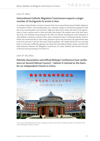**June 27, 2012:**

## **International Catholic Migration Commission expects a larger number of immigrants to arrive in Asia**

According to Johan Ketelers, Secretary-General of the Geneva-based International Catholic Migration Commission (ICMC), "Asia should prepare for a dramatic change in international migration trends due to the worsening debt crisis in Europe." High tech talent may in future also look for job opportunities in Asian countries such as China and India, thus Keteler. His remarks came at the third meeting of the Asia Working Group formed by the Office for Human Development of the Federation of Asian Bishops' Conferences and the ICMC, which concluded on June 27 in Hsinchu (Xinzhu, Taiwan). Keteler also mentioned that in China today, European experts may have fewer job opportunities than in previous years due to the fact that many Chinese graduates who studied abroad are now returning home to work, due to difficulties getting a job where they had studied. Bishops, priests, and laity from India, Indonesia, Pakistan, the Philippines, South Korea, Sri Lanka, Thailand, and Vietnam took part in the four-day long meeting (*UCAN* June 27).

**June 27–28, 2012:**

## **Patriotic Association and official Bishops' Conference host conference on Second Vatican Council – Vatican II claimed as the basis for an independent Church in China**



The church of the National Seminary in Beijing is at the center of the conference poster. It was built in the style of Beijing's Temple of Heaven.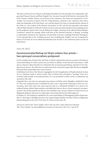The spirit of Vatican II is serving as an ideological foundation for the principle of an independent, selfgoverned Chinese Church, said Zhou Yongzhi, Vice-Secretary General of the Patriotic Association (PA) of the Chinese Catholic Church, in his lecture at the conference. His words were reported by *UCAN*. Another Vice-Secretary General of the PA, Wang Huaimao, declared at the conference that China, under the leadership of the Holy Spirit, was a decade ahead of its times in introducing the reforms of the 1950s [i.e., the creation of the Patriotic Association in 1957 and the first episcopal consecration without Papal mandate in 1958] all of which served as a practical demonstration and as stepping stones for the progressive spirit of the Council. Bishop Ma Yinglin, Chairman of the official Chinese Bishops' Conference, opened the meeting, which took place at the National Seminary in Beijing. According to information released by the organizers, 60 specialists took part, including Protestant theologians. *UCAN* reported that of the 10 bishops present, four (including Ma Yinglin) were not recognized by Rome (*UCAN* June 28; www.catholicchurchinchina June 26 and 27, the conference poster can also be found there).

**June 29, 2012:**

## **Excommunicated Bishop Lei Shiyin ordains four priests – two episcopal consecrations postponed**

On the symbolic day of Saints Peter and Paul, Lei Shiyin ordained four deacons as priests. He had been consecrated Bishop of Leshan exactly one year before in defiance of the directives from Rome. A fifth deacon refused to allow himself to be ordained by the excommunicated bishop, reported *UCAN* (relying on local sources). The other four are said to have been convinced to agree after the diocese allegedly promised them automobiles and a sum of money.

Archbishop Savio Hon of the Vatican Congregation for the Evangelization of Peoples declared on June 30, in a statement made to *Vatican Insider*, that Lei Shiyin had committed a "sacrilege." Since he is currently under penalty of excommunication, he is not permitted to either receive or administer any sacrament, Hon said.

Originally there were also two episcopal consecrations in Harbin and in Shanghai scheduled for June 29. They were postponed and re-scheduled for July 6 and 7 respectively. Referring to these two consecrations, Savio Hon said in the same interview that it is "absolutely forbidden" for a priest to be ordained bishop without Papal mandate, and added that whoever does so incurs automatic excommunication. Hon further pointed out that it is also forbidden and a serious violation of Church law for an illegitimate bishop to take part in an Episcopal consecration that has the Pope's approval.

In Harbin, Fr. Yue Fusheng is scheduled to be consecrated Bishop of Heilongjiang without Papal mandate. Fr. Ma Daqin in Shanghai does have the required Papal mandate, but there will be an illegitimate bishop taking part in the rite (*UCAN* June 29; *Vatican Insider* June 30).

All sources cited in this "News Update" refer to the year 2012, unless otherwise indicated. This "News Update" was first published in German in *China heute* 2012, No. 2, pp. 89-97.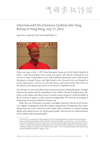【困宗教存斎

# **Interview with His Eminence Cardinal John Tong, Bishop of Hong Kong, July 17, 2012**

*Questions asked by Prof. Hans Waldenfels SJ1*



*Fifteen years ago, on July 1, 1997, Hong Kong again became part of the People's Republic of China – under the principle of "One country, two systems." The Church is relatively free and exercises a rather strong influence by its well-established educational system built up from Kindergarten through Primary and High Schools to the University level, and through her Caritas organization, a social service arm of the diocese, and social activities. How do you see the influence of the Hong Kong Church on the Church in Mainland China?*

Over the past 15 years, the political and social environments of Hong Kong have changed. However, the mission and the commitment of the Catholic Church in Hong Kong to education, social welfare, and other services in society remain strong, for which the quality of the services has to improve, as the society has changed after 1997 when the sovereignty of Hong Kong reverted from British to Chinese rule.

Today, there are 250 primary, secondary, and higher education schools run by the diocese, religious congregations, and other Catholic organizations in Hong Kong. The Caritas-Hong Kong runs social centers for youth, family, ethnic minorities, vocational training, elderly and medical services, etc. for the general public. Such services are visible testimony of the Catholic faith among the public.

This interview was conducted in Hong Kong by Prof. Dr. Dr. Hans Waldenfels SJ, Essen/Germany, formerly professor for fundamental theology at Bonn University, who had stayed there as a lecturer in a course for seminary teachers from Mainland China on the significance of old and new philosophies for theological formation (June 27 to July 4). Cardinal John Tong has been appointed as one of the three president delegates to the upcoming Synod of Bishops scheduled to take place in the Vatican from October 7 to 28. A German translation of the interview has first been published in *Ruhrwort*, August 4, 2012.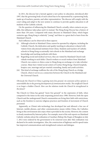In 2011, the diocese lost a lawsuit against a new policy in education, introduced after 1997, that the governing body of each school has to be represented by a sponsoring body, made up of teachers, parents, and other representatives. The diocese will comply with the court ruling and adapt to the new system to continue to provide quality education to all students of the Catholic schools.

气同宗教评综

On the question of influencing the Mainland Church, actually, when contacts are possible, this influence takes place and it is mutual. The Hong Kong Diocese has a history of more than 150 years. Compared with many dioceses in Mainland China, which began centuries ago, Hong Kong is relatively "young" and there is a great deal to learn from the Mainland Church.

Such influence can be observed in three aspects:

- (i) Although schools in Mainland China cannot be operated by religions, including the Catholic Church, the dedication and quality teaching in education is shared with visitors from educational institutes from China. Students and teachers of Catholic schools in Hong Kong occasionally visit schools in the Mainland and exchange knowledge and teaching methods with them.
- (ii) Regarding social and medical services, they are visited by Mainland Church individuals working in such fields. Church workers or social workers from Mainland Church-run centers or clinics come to Hong Kong on exchange or to take refresher courses. Many have visited social centers of Caritas-Hong Kong, Church hospitals, hospice care, marriage and pre-marital counseling, family and youth activities.
- (iii) This kind of exchange reaffirms the role of the Hong Kong Church as a bridge Church, where it serves as a connection between the Church in the Mainland and the Universal Church.

*Obviously the Church in China is gaining more free ground. An extension of free opinion is unavoidable due to the growing development of communication media. The unofficial Church is no longer a hidden Church. How can the relations inside the Church be strengthened in the future?*

The Church in China has gained "more free ground" in the expression of faith, when compared to the times in the early reopening period since 1980. However, both the open Church and the underground Church communities are living their faith with restrictions, such as the freedom to exercise religious practices and freedom of movement of Church personnel.

Apparently, as China's info-technology has developed fast and allowed a free use of Internet, mobile phones, and other communication means within China, the Catholics living in this environment also enjoy what is provided in the society. However, the content is closely monitored by Internet police. For example, most of the web reports on Mainland Catholic websites about the ordination of Auxiliary Bishop Ma Daqin of Shanghai on July 7, 2012 were ordered by the government to be removed soon after Ma's ordination was declared to be under investigation. Also, the construction of highways and hi-speed trains has improved communications and strengthened contacts and dialogue.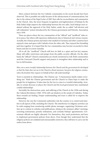More contacts between the two Catholic communities in the recent decade have been observed. This is possible not really because of the advancement of communications, but due to the release of the Papal Letter of 2007 that calls for reconciliation and communion in the Church. Also, the more frequent recognition and legitimization of bishops by the Holy Father helps improve the relationship between the two sides. Such bishops were ordained without the approval of the Holy Father, under the so-called "self-election and self-ordination" system introduced by the Chinese government and Patriotic Association since 1958.

There are places where the two communities of the "official" and "unofficial" sides exist in peace, but others still experience disharmony due to historical and various reasons. Actually, the Chinese priests and sisters who studied in Germany and other countries have enjoyed a time and space with Catholics from the other side. They enjoyed the friendship and time together. It is hoped that the two communities may become reconciled in their hearts and also in action someday.

All in all, the "unofficial" Church still lives its faith in a quiet and low-key manner. Many still suffer restrictions and purges from the public security officials. On the other hand, the "official" Church communities are closely monitored as well. Both communities need the Universal Church's support and prayers to strengthen their relationship and to live in full freedom.

#### *How can a more trustful relationship between the Church and the government be developed so that the State does not see in the Church a threat anymore, but gives the religious communities the freedom they request on behalf of their self-understanding?*

Trust is essential in relationships. The Chinese say: "A harmonious family makes everything rise." Both the Chinese government and the Church in China hope to make the people live in happiness. It takes time for the two to come to a trustful relationship. Actually, in certain dioceses or places the Church and the local government have maintained cordial relationships.

Inevitably the destructions, pain, and suffering of the Church in the 1950s and during the Cultural Revolution (1966–1976) still cast shadows in the minds of Catholics. Today, these wounds are healing. Deeper understanding and trust is called for to improve the relationship.

However, the way the Communist authorities rule the country is to control and interfere in all aspects of life, including the Church. The interference in religious activities can be wide-ranging from monitoring mobile phone messages, organizing Christmas activities up to content in websites and publications, sitting in the seminary affairs' meetings, screening seminarians, priestly ordinations, and certainly bishops' appointments. Government officials are highly educated. For themselves, they need promotions and have to implement government policies from above. Even though they understand that the religious policies are outdated and unreasonably restrictive, they still have to carry out the orders from above.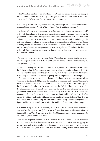The Catholics' freedom is like a bird in a cage. Unless the policy of religion is changed, the situation cannot be improved. Again, dialogue between the Church and State, as well as between the Holy See and Beijing, is essential and imminent.

飞同宗教评端

#### *What kind of reasons does the government have for thinking it has to decide about the ordination of bishops against the will of the Universal Church and her regulations?*

Whether the Chinese government purposely chooses some bishops to go "against the will" of the Holy See is hard to determine or recognize. Instead, it seems more obvious for the government to select some bishops whom they "trust" and who can carry out their goals and more importantly, to control the Church and prevent the Church from linking to the Universal Church. It is hard to contact bishops in China or to invite bishops to go abroad without government interference. It is also observed that the Church leaders in China are pushed to implement "an independent and self-managed Church" without the direction of the Holy See. In the long run, there is a danger that the Church will be separated from the Universal Church.

#### *Why does the government not recognize that a Church in freedom could be of great help in harmonizing the country and that she could assist the people on their way to realizing the good goals for the future?*

Harmony is the big word today in China. But the present disharmony develops out of the Chinese authorities' obsolete and outmoded religious policy of the Communist Party, adopted since the 1950s. Even though the country is catching up with the world in terms of economy and international events, its policy toward religion remains unchanged.

For instance, on the issue of illicit ordination of bishops, the government's news release still refers to the time of 1958, where the first illicit ordinations took place in China, or to imperialist invasions into China in the 18th and 19th century, or even the "Dark Ages" of the Church in Medieval times. Their perception of the Catholic Church seems to say that the Church is stagnant. Certainly, if we compare the freedom and tolerance the Chinese government allows the Catholic Church to enjoy today with the time in 1980, when it first reopened its doors to the world, it is much improved. But it still lags behind all kinds of reforms. The Chinese authorities still maintain the thinking that the Catholic Church is led by a foreign power, undermining her contributions to morality, understanding of human dignity and human relationships that affect the building of community relationships.

#### *In our times many call for peace, freedom, and justice. Is it not necessary that "all people of good will," as the Popes repeatedly have requested, contribute to the welfare of all whatever they are able to do? How is the Church in Mainland China approaching the ordinary people? How does she get in contact with them?*

Given the development of the Church in China in the past decades, the social awareness in many Catholic leaders there seems less sensitive. The Church has been struggling for her survival, such as the reclaiming and restoration of churches and church properties in the 1980s and 1990s, and made an intense effort in building church communities and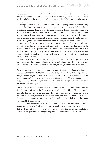bishop's successions in the 2000s. Evangelization has been active in the recent decade, and thus more attention is given to social justice issues like migrants in the cities. In other words, Catholics in the Mainland pay less attention to the Catholic social teaching or social awareness.

During Christmas and major Church festivals, curious young people or residents may come to the Church. They are now welcome to see and listen to what a Catholic Church is. Catholics organize themselves to visit poor and single elderly persons in villages and urban areas during the weekends or Christmas time. Church people are more conscious of environmental protection. Processions in certain parishes were organized to arouse awareness among local residents. Sometimes during holidays, Catholic youths and students have organized themselves to visit children or elderly in the remote areas.

However, big demonstrations are rarely seen. Big protests defending the Church's own property rights, human rights, and religious freedom were observed. For instance, the protest against the beating of sisters in Xi'an Diocese who defended the Church properties from invasions by property companies in 2005; seminarians in Hebei started a three-week student strike in November 2010 to protest the government's appointment of a religious official as their vice rector.

Church participation in nationwide campaigns on human rights and peace issues is rarely seen, with the exception of government-organized peace activities of the five officially-recognized religions – Buddhists, Catholics, Daoists, Muslims, and Protestants.

*The great number of people in Hong Kong who are interested in the Church, but also on Mainland China proves that they see the Church as a power which insists on the fundamental rights of human persons and the welfare of humankind. Are there no ways that also the members of the Chinese governments, central and local, come to this understanding so that they finally support the true representatives of the Christian message, or at least that they do not hinder them any longer?*

The Chinese government understands that Catholics are serving the needy, but at the same time they are suspicious of the Church, fearing it will introduce ideas of foreign domination into their services. In certain areas, the local government appreciates the services the Church is offering for their people. For example, the Home of the Dawn in Ningjin County, Hebei Province, accommodates orphans and handicapped children. The sisters' effort is publicly appreciated.

As mentioned, many of the Chinese officials do understand the importance of fundamental human rights and efforts made by the Church people, but they have to implement their work according to the policies stated in the Constitution and various regulations. Unless those stipulations are changed, they cannot do much to change the scenario.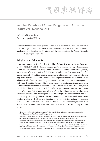气雨宗放浮荡

# **People's Republic of China: Religions and Churches Statistical Overview 2011**

*Katharina Wenzel-Teuber Translated by David Streit*

Numerically measurable developments in the field of the religions of China were once again the subject of estimates, research, and discussions in 2011. They were reflected in media reports and academic publications both inside and outside the People's Republic. Some of these are presented below.<sup>1</sup>

#### **Religions and Adherents**

**How many people in the People's Republic of China (excluding Hong Kong and Macau) believe in a religion** is still an open question, which is keeping religious affairs authorities and scholars busy. Wang Zuo'an, Director of the State Administration [Bureau] for Religious Affairs, said on March 9, 2011 on the website people.com.cn, that the often quoted figure of 100 million religious adherents in China is in part based on estimates only. Since reliable statistics on the number of religious adherents are essential for the religious work of the Party and the government, plans have been made, in cooperation with research facilities, to conduct large-scale, sample surveys in order to determine more accurately the number of followers of Buddhism, Daoism, Islam, and Catholicism, as has already been done in 2008/2009 with the in-house questionnaire survey on Protestantism – Wang said. Furthermore, according to Wang, the Chinese government has never claimed to recognize only five religions; those five were just the most influential ones.<sup>2</sup>

In January 2012, Wang said that China was building up a database of information concerning religious work which would contain systematic statistics updated on a regular basis. The State Administration for Religious Affairs has already done the groundwork for this database, he added.<sup>3</sup> New statistics thus can be expected to be forthcoming from this source.

This article was first published under the title "Volksrepublik China: Religionen und Kirchen. Statistischer Überblick 2011" in *China heute* 2012, No. 1, pp. 26-38.

<sup>1</sup> Since 2001, Roman Malek has compiled the statistical overview of churches and religions in the People's Republic of China which appears annually in *China heute*. His latest version was in 2011 (see Malek 2011).

<sup>2</sup> "Wang Zuo'an juzhang zuoke renminwang qiangguo luntan qiangdiao jiaqiang guanli cujin zongjiao hexie," p. 5. More on the in-house questionnaire survey on Protestantism (= CASS 2010) mentioned by Wang see below.

<sup>3</sup> "Wo guo jiang jianli zongjiao gongzuo shuju tongji zhidu he dingqi gengxin jizhi" 我国将建立宗教工作数据统 计制度和定期更新机制 (China will Build Up a Data and Statistics System for the Religious Work as well as a Mechanism for its Regular Up-Dating), *Xinhua* Jan. 9, 2012, according to sara.gov.cn/xwzx/xwjj/12035.htm.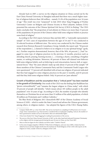Already back in 2007, a survey on the religious situation in China carried out by the East China Normal University in Shanghai indicated that there was a much higher number of religious believers than 100 million – namely 31.4% of the population over 16 years of age.4 This result was even "surpassed" in July 2010 when Yang Fenggang of Purdue University's Center on Religion and Chinese Society in West Lafayette, Indiana (USA) presented the outcome of the Chinese Spiritual Life Survey (CSLS) in Beijing.<sup>5</sup> The CSLS study concludes that "the proportion of real atheists in China is no more than 15 percent of the population; 85 percent of the Chinese either hold some religious beliefs or practice some kind of religion."

According to the CSLS report, between May and July 2007, a "nationally representative sample" of 7,021 cases of respondents between the ages of 16 and 75 was conducted in 56 selected locations of different sizes. The survey was conducted by the Chinese market research firm Horizon Research Consultancy Group. Initially, the report said, "58 percent of the respondents [...] claimed to believe in no religion or in any spiritual beings" (gods, etc.). Further enquiries demonstrated, however, that of the 58%, 44 percent [...] had "engaged in some type of religious practices in the previous 12 months, practices such as attending church, praying, burning incense, […] wearing a charm, consulting a Fengshui master, or seeking divination. Moreover, 49 percent of these self-claimed non-believers held some religious beliefs, such as believing in soul reincarnation, heaven, hell, or supernatural forces." Thus "the 'pure atheists' make up only about 15 percent of the sample." Of those members of the Chinese Communist Party and the Communist Youth League who were questioned, "17 percent self-identified with at least one religion, 65 percent indicated that they had engaged in some religious practices in the past 12 months, and 65 percent said that they held some religious beliefs. Only 16 percent are 'pure atheists."

**Growth of Buddhism and the assumption that a "critical point" has been reached in the growth of Christianity.** One result of the CSLS was the finding that Buddhism has "grown extraordinarily"<sup>6</sup> and "remains the largest religion in China today," with which 18 percent of people self-identify, "which means about 185 million people in the adult population" over 16 years of age. According to CSLS, the number of people who identify themselves as Christians lies at not more than 33 million of the adult population, of which 30 million are Protestants and 3 million Catholics.7

The Blue Book of Religions 2011 (henceforth BB)<sup>8</sup> of the Chinese Academy of Social Sciences (CASS) – which is under the State Council and advises the Chinese government, among others, in religious matters – has adopted the figures of the CSLS. Huang Haibo,

<sup>4</sup> Compare Malek 2007, p. 2; Sun Yiwei 2007. The survey was based on a sampling of 4,500 persons over 16 years of age. Some commentators (e.g. Duan Qi 2011) considered this an inadequate sampling. And yet, the number of those questioned in similar surveys in this field is often not substantially higher.

<sup>5</sup> *China heute* thanks Prof. Yang Fenggang for mailing his presentation of the survey.

<sup>6</sup> The survey of the East China Normal University of 2007 on the other hand had indicated Protestant Christianity as the religion with the strongest growth during the past 20 years in China; see Sun Yiwei 2007.

<sup>7</sup> More on this low figure for the Catholics see below under "Catholic Church."

<sup>8</sup> In the series Zongjiao lanpishu 宗教蓝皮书 Blue Book of Religions, each year since 2008 a volume has been edited by Jin Ze and Qiu Yonghui (both from the Institute for World Religions of the CASS) with reports on the religions in China, usually written by colleagues of the CASS.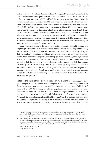author of the report on Protestantism in the BB, compared them with the results of the above-mentioned in-house questionnaire survey on Protestantism in China. This was carried out in 2008/2009 by the CASS itself and the results were published in the BB of the previous year. It arrived at a figure of 23.05 million persons who consider themselves Protestant Christians.<sup>9</sup> Based on these two surveys (which he claims are the two most scientifically reliable) and admitting an upward margin of error, Huang Haibo comes to the conclusion that the number of Protestant Christians in China must lie somewhere between  $23.05$  and 40 million<sup>10</sup> and therefore does not exceed 3% of the population. This means – he writes – that Protestant Christianity has grown relatively quickly since the 1980s, but not as quickly as has sometimes been presumed. It continues to hold a marginal position in Chinese society and has not "already entered the mainstream of Chinese society" as optimists had once supposed, Huang concludes.

Huang surmises that due to the particular structure of society, cultural traditions, and religious priorities there may possibly exist a natural "critical point" (*linjiedian* 临界点) for the growth of Christianity in China. One can assume with some certainty, he argues, that the number of Christians in China over the long run will not go beyond a not-yetidentifiable but relatively low percentage of the population. So there is, as he says, no need to worry about the number of Protestants; instead, efforts can be concentrated on further protecting their fundamental rights and interests and on developing their harmonious relationship with Chinese society.11 On the other hand, as Wang Zhiyuan observed in his article on Buddhism in the BB, of all religions of China – the five major religions and popular religion included – Buddhism no doubt exercises the most far-reaching influence on society, so that its mission with regard to the transformation of society towards modernity is also the greatest.<sup>12</sup>

**Notes on the limits of validity of religious surveys in China.** Gao Shining, a sociologist of religion at the Institute for World Religions of the CASS, is of the opinion that, as shown by the figures arrived at in the CASS and CSLS surveys, religious "self-identity" (*ziwo rentong* 自我认同) among the Chinese population has made enormous progress. She points out, however, that even in today's China, the religious identity of Christians is "not completely void of burden," and recalls "religious incidents" of recent years, in which Protestant Christians (e.g. members of the Shouwang Church in Beijing) had once again been subjected to pressure. According to her experience, therefore, one can never be sure in any survey on religious belief "that all Christians will admit to being Christian." She

<sup>9</sup> Compare CASS 2010. The survey was presented in, among others, Malek 2011, pp. 32 and 51-53. A total of 211,750 individuals in 54,360 households were surveyed throughout all of China. This means that the control sample was comparatively large.

<sup>10</sup> Here Huang draws on the information provided in Duan Qi 2011, esp. p. 24. Duan Qi took part in conducting the CASS in-house questionnaire survey. In her article, she points to some of the possible sources of errors in the survey, and taking those into account, comes to her own personal estimate of 23.05 to 40 million Protestants in China. On the whole, however, she believes the study to be generally reliable.

<sup>11</sup> Huang Haibo 2011, pp. 128-130.

<sup>12</sup> Wang Zhiyuan 2011, p. 21.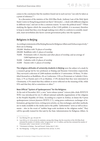comes to the conclusion that the numbers found out in such surveys "can only be taken as a point of reference."<sup>13</sup>

In a discussion of the statistics of the 2010 Blue Book, Anthony Lam of the Holy Spirit Study Centre in Hong Kong pointed out that it "obviously [...] deals with different religions in different ways," and saw in this a common reason: "to meet the political need."<sup>14</sup> When studying the figures which the researchers of the CASS publish, it is necessary therefore to keep in mind that they, even though making every effort to conform to scientific standards, must nevertheless also factor current government policy into the equation.

## **Religions in Beijing**

According to statements of the Beijing Bureau for Religious Affairs and *Xinhua* respectively,15 there are in Beijing:

250,000 Muslims with 70 places of worship

- 200,000 Buddhists with 21 places of worship
- 70,000 Protestants with 21 churches and other places of worship, and an average of 5,000 baptisms per year
- 50,000 Catholics with 22 places of worship
- 10,000 Daoists with 11 places of worship

**The religious attitudes of university students in Beijing** were the subject of a study by a research group led by two professors at Beijing and Renmin Universities respectively. They surveyed a selection of 2,000 students enrolled at 13 universities. Of these, 7% identified themselves as Buddhists, 4% as Confucians, 3.9% as (Protestant or Catholic) Christians, 2.7% as Daoists and 2.1% as Muslims. 17.9% declared that they were interested in Christianity. 4.5% stated that they seldom or never reflected on the meaning of life, while 95% said that they did so sometimes or often.16

#### **New Official "System of Spokespersons" for the Religions**

At the end of December 2011, a new "news release system" (*xinwen fabu zhidu* 新闻发布 制度) was introduced for six (!) official national umbrella organizations of the religions in the People's Republic of China. According to a report in *Xinhua*, in future the 9 press spokespersons (*xinwen fayanren* 新闻发言人), using press conferences, exchanges of information, giving interviews, writing news articles, on-line exchanges, and other methods, are to make available to the media and to the public "authoritative" news as well as documents – also in the event of "sudden large-scale incidents in the religious realm." They will be specially trained for this task by the State Administration for Religious Affairs. In

<sup>13</sup> Gao Shining 2011, pp. 126 and 130.

<sup>14</sup> Lam 2010, p. 61. In his article, he maintains, among other things, that the researchers of the 2010 Blue Book estimated the number of Catholics rather "progressively" at 6–12 million, and that they estimated the number of Protestants rather "conservatively" at 23.05 million.

<sup>15</sup> "Christianity in Beijing – Past and Present", *Xinhua* July 27, 2011.

<sup>16</sup> Sun Shangyang – Li Ding 2011, quoted here from *xdo* Jan. 14, 2012.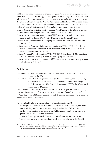addition to the usual organizations or pairs of organizations of the five religions, the Protestant YMCA/YWCA has also appointed a spokesperson to this position. The new "news release system" demonstrates clearly that the state religious authorities, when dealing with the Catholic Church, regard the Patriotic Association and the Bishops' Conference as one single organization. The same is true on the Protestant side for the Three-Self-Movement and the Chinese Christian Council. – The spokespersons for each organization are:

- Chinese Buddhist Association: Master Puzheng  $\#E$ , Director of the International Division, and Master Mingjie 明杰, Director of the Research Division
- Chinese Daoist Association: Meng Zhiling 孟至岭, Daoist priest and Vice Secretary General, and Yin Zhihua 尹志华, Vice-Director of the Research Division
- Chinese Islamic Association: Ma Zhongping 马中平 and Jin Rubin 金汝彬, both Vice Secretaries General
- Chinese Catholic "One Association and One Conference" 中国天主教一会一团 [i.e. Patriotic Association and Bishops' Conference]: Fr. Yang Yu 杨宇, Vice Secretary General [of the Bishop's Conference]

Chinese Protestant "Two Committees" 中国基督教两会 [i.e. Three-Self-Movement and Chinese Christian Council]: Pastor Kan Baoping 阚保平, Director

Chinese YMCA/YWCA: Wang Chengsi 王承思, Executive Secretary for the Department for Projects and Training<sup>17</sup>

#### **Buddhism**

- 185 million consider themselves Buddhist, i.e. 18% of the adult population (CSLS, adopted in the BB).
- 17.3 million have taken the "triple refuge" (in the Buddha, Dharma, and Sangha), i.e., have formalized their conversion or adherence to Buddhism through ritual. They make up 1.7% of the adult population (CSLS); the BB speaks of a maximum of 20 million.

Of those who did not identify as Buddhist in the CSLS, "31 percent reported having at least one of Buddhist beliefs or participating in at least one of Buddhist practices."

According to the CSLS, more than 12 percent of Chinese Communist Party members identify themselves as Buddhists.

**Three kinds of Buddhists** are identified by Wang Zhiyuan in the BB:

- 1. An elite group of intellectuals from Buddhist circles, science, culture, art, and education. In all, they number some 100,000. Wang describes their faith as "rational." They are close to the traditional culture and see Buddhism as a value both for their own spiritual life and for the service of society.
- 2. Several million large and small "bosses" (*laozong* 老总) from business circles. Through their generosity they contribute much to the building up of the Buddhist

<sup>17</sup> See the Dec. 22 *Xinhua* report ("Zhongguo quanguoxing zongjiao tuanti jianli xinwen fabu zhidu" 中国全国 性宗教团体建立新闻发布制度) with photos and biographies of the spokespersons on the website of the State Administration for Religious Affairs at sara.gov.cn/xwzx/xwjj/11900.htm.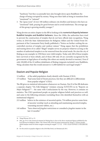"hardware," but they occasionally have also brought down upon Buddhism the charge of being corrupted by money. Wang sees their faith as being in transition from "emotional" to "rational."

3. The "grass roots" of over 100 million ordinary city dwellers and farmers who have an "emotional" faith, praying for good fortune and to avoid misfortune. The average age of this group is growing steadily younger.<sup>18</sup>

Wang devotes an entire chapter in the BB to looking at the **numerical disparity between Buddhist temples and Buddhist believers.** Since the 1990s, the authorities have tried to prevent the construction of temples that do not have official state recognition, Wang writes; in 2010 the State Administration for Religious Affairs and the United Front Department of the Communist Party finally published a "Notice on further curbing the uncontrolled erection of temples and outdoor statues." Wang argues that the prohibition and tearing down of so called "illegal" temples serves no purpose whatever as long as the number of authorized temples is so far removed from the actual needs. He cites the city of Beijing as one example: in 1958 there were 2,666 temples. Today only 200 of those temples have survived or been rebuilt, and of those 200 only 20 are currently recognized by the government as legal places of worship (the others are mainly devoted to tourism). Even if only 220,000 of the 22 million inhabitants of Beijing (migrants included) were Buddhists, Wang calculates that this would amount to 11,000 faithful for each legal temple.<sup>19</sup>

## **Daoism and Popular Religion**

- 12 million of the adult population clearly identify with Daoism (CSLS).
- 173 million "had some kind of Daoist practices, but they are difficult to differentiate from popular religion" (CSLS).

The BB gives no statistical information whatsoever on Daoism. Part II of the BB dedicates a separate chapter "On Folk Religions" (*minjian xinyang* 民间信仰) in its "Reports on Major Religions"<sup>20</sup> – the same with Confucianism by the way. However, it contains no statistics. The CSLS questioned people on popular religious beliefs and practices as well, and came to the following estimates (excluding those who identified themselves with an institutional religion):

- 215 million believe in the existence of ancestral spirits, 754 million practice some form of ancestor worship (such as attending and maintaining ancestral temples, venerating ancestor tablets, etc.).
- 145 million "have observed *fengshui* restrictions or consulted a *fengshui* master in the last 12 months."

<sup>18</sup> Wang Zhiyuan 2011, p. 21.

<sup>19</sup> *Ibid*., pp. 50-53. His numerical estimate for Beijing thus is close to the above-mentioned figures published by the local Bureau for Religious Affairs. The Chinese title of the document mentioned by Wang is: "Guanyu jinyibu zhizhi luanjian simiao he lutian zongjiao zaoxiang de tongzhi" 关于进一步制止乱建寺庙和露天宗教造像的通 知.

<sup>20</sup> For the article on popular religion in the 2010 Blue Book, see Hetmanczyk 2011.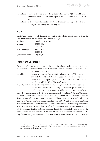- 141 million believe in the existence of the god of wealth (*caishen* 财神), and 119 million have a picture or statue of the god of wealth at home or in their workplace.
- 362 million in the previous 12 months "practiced divination one way or the other, including fortune-telling, face-reading, etc."

#### **Islam**

The BB more or less repeats the statistics furnished by official Islamic sources (here the Chairman of the Chinese Islamic Association [CIA]):<sup>21</sup>

| Muslims             | 23 million (CIA, BB) |
|---------------------|----------------------|
| Mosques             | 45,000 (CIA)         |
|                     | 35,000 (BB)          |
| Imams/Ahongs        | 50,000 (CIA)         |
|                     | 40,000 (BB)          |
| Qur'anic Institutes | 10 (CIA, BB)         |

## **Protestant Christians**

The results of the surveys mentioned at the beginning of this article are reassumed here:

- 23.05 million consider themselves Protestant Christians, of whom 67.5% have been baptized (CASS 2010). 30 million consider themselves Protestant Christians, of whom 38% have been baptized. An additional 40 million people "believe in the existence of Jesus Christ or have participated in Christian activities, even though they do not self-identify as Christian" (CSLS).
- 23.05–40 million Protestant Christians is the number given in the BB, among others on the basis of these surveys, including an upward margin of error. The much higher estimates of up to 130 million are rejected as speculative.

Thus, the statistics seem to level out at a maximum of 40 million Protestant Christians, since the 2007 survey conducted by the East China Normal University arrived at the same figure. A survey by the Protestant organization China Partner, present with offices in a number of Western countries, also arrived at a figure of 38–40 million Protestants in China from both registered and unregistered churches. The survey takers randomly interviewed 6,523 persons over 16 years of age in all of the provinces, autonomous regions (except Tibet), and municipalities of China, speaking directly to people of all walks of life on the street, in parks, on public transport, etc. The survey, which does not claim scientific accuracy, found the highest percentage of (Protestant) Christians in Fujian, Anhui, Zhejiang,

<sup>21</sup> "Chen Guangyuan dangxuan xin yijie Zhongguo yisilanjiao xiehui huizhang" 陈广元当选新一届中国伊斯兰教 协会会长 (Chen Guangyuan Elected Chairman of the Chinese Islamic Association for the New Term), *Xinhua* Sept. 15; Ma Jing – Min Junqing 2011, p. 96.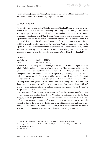Henan, Shaanxi, Jiangsu, and Guangdong. The great majority of all those questioned were nevertheless Buddhists or without any religious affiliation.<sup>22</sup>

#### **Catholic Church**

For the following statistics on the Catholic Church in Mainland China two sources, in particular, were compared: estimates of the Holy Spirit Study Centre (HSSC) of the Diocese of Hong Kong for the year 2011, which took into account both the state recognized official Church as well as the unofficial Church in the "underground," and figures from the work report of the official Chinese Patriotic Association and the Chinese Bishops' Conference (PA-BiCo) delivered at the 8th National Assembly of Catholic Representatives.<sup>23</sup> The BB and CSLS were also used for purposes of comparison. Another important source are the reports of the Catholic newspaper *Xinde* 信德 (Faith) (*xdb*) located in Shijiazhuang and its website www.xinde.org (*xdo*), whose information is sometimes picked up by the Vatican news agency *Fides* ( *fi*) and the Catholic news agency *UCAN* (Hong Kong/Bangkok).

#### **Catholics**

unofficial estimate 12 million (HSSC) official 6 million (PA-BiCo)

In a table in the BB, Wang Meixiu initially gives the number of 6 million reported by the official Catholic bodies, remarking in a footnote that it is a "long accepted reality" that the Catholic Church in the country "is split into two parts, one official and one unofficial." The figure given in the table – she says – is simply that published by the official Church and is very incomplete. She then gives 12 million as the number determined by the HSSC, noting that the HSSC has been publishing this number since 2000 and thus apparently is assuming a very slow growth of the Catholic Church.<sup>24</sup> Anthony Lam of the HSSC says that the second reason for the difference in numbers is the "problem of illegal residents." In many remote Catholic villages, he explains, there is a discrepancy between the number of registered and actual population.25

The CSLS survey's spectacularly low result of 3 million of the Chinese population over 16 years of age who identify themselves as Catholics was not repeated by the BB. Yang Fenggang gives two possible reasons for this number in his CSLS report: either the survey's sampling process left out areas of Catholic concentration by chance or "the Catholic population has declined since the 1990s" due to shrinking family size and lack of new [adult] converts from non-Catholics. – In addition, Church statistics include the number of baptized children under 16 years of age and thus arrive at a higher number.

<sup>22</sup> Bürklin 2008. *China heute* thanks Dr. Bürklin of China Partner for sending in his manuscript.

<sup>23</sup> It was presented on December 7, 2010 by Bishop Ma Yinglin; for the statistical data, see: PA-BiCo, p. 6.

<sup>24</sup> Wang Meixiu 2011, p. 119.

<sup>25</sup> Lam 2010, p. 57.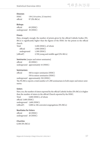#### **Dioceses**

| <b>HSSC</b> | 138 (116 active, 22 inactive) |
|-------------|-------------------------------|
| official    | $97$ (PA-BiCo)                |

#### **Bishops**

official 69 (HSSC) underground 38 (HSSC)

#### **Priests**

Here, strangely enough, the number of priests given by the official Catholic bodies (PA-BiCo) is significantly higher than the figures of the HSSC for the priests in the official church.

| Total       | 3,200 (HSSC), of whom                 |
|-------------|---------------------------------------|
| official    | 1,900 (HSSC)                          |
| underground | 1,300 (HSSC)                          |
| [official!] | 2,700 young and middle aged (PA-BiCo) |

**Seminaries** [major and minor seminaries] official 20 (HSSC) underground approximately 16 (HSSC)

#### **Seminarians**

official 560 in major seminaries (HSSC) 550 in minor seminaries (HSSC)

underground approximately 350 (HSSC)

The PA-BiCo reports a total number of 1,300 seminarians in both major and minor seminaries.

#### **Sisters**

Here, too, the number of sisters reported by the official Catholic bodies (PA-BiCo) is higher than the number of sisters in the official Church reported by the HSSC.

Total 5,000 (HSSC), of whom official 3,400 (HSSC) underground 1,600 (HSSC)

[official?] 5,000 in 106 convents/congregations (PA-BiCo)

#### **Novitiates for Sisters**

official 40 (HSSC) underground 20 (HSSC)

**Churches** 6,300 (PA-BiCo)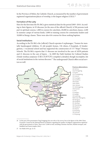In the Province of Hebei, the Catholic Church, as measured by the number of government registered organizations/places of worship, is the largest religion (CSLS).26

#### **Formation of the Laity**

Here for the first time the PA-BiCo gives statistical data for the period 2005–2010. According to their figures, in 93 dioceses [in the area of the official Church] 4,700 persons took part in spiritual courses, 1,800 in courses for catechists, 20,000 in catechism classes, 2,200 in summer camps of various kinds, 5,000 in training courses for community leaders and 10,000 in liturgy classes. There were also 616 courses for those seeking baptism.

#### **Social Institutions**

According to the PA-BiCo the [official] Church operates 9 orphanages, 7 homes for mentally handicapped children, 52 old people's homes, 136 clinics, 8 hospitals, 43 kindergartens, 1 vocational school and has supported the construction of 173 "Hope" Primary Schools. The PA-BiCo reports that 11 dioceses are involved in the care of AIDS patients and 21 dioceses in the care of lepers. – In 2009 the Faith Institute for Cultural Studies (Xinde wenhua yanjiusuo 信德文化研究所) compiled a detailed, though incomplete, list of social institutions in the various dioceses.<sup>27</sup> The underground Church offers social services as well.



<sup>26</sup> In this part of his presentation Yang Fenggang does not refer to his survey, but to the figures of the 2004 China Economic Census by the National Bureau of Statistics regarding the number of religious organizations registered with the government in China. There were 72,848 in total, including Christian churches, Muslim mosques, and Buddhist and Daoist temples (*ibid*.).

27 See Malek 2010, pp. 22-24.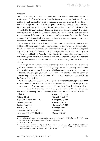#### **Baptisms**

The official leadership bodies of the Catholic Church in China continue to speak of 100,000 baptisms annually (PA-BiCo). In 2011, for the fourth year in a row, *Xinde* and the Faith Institute for Cultural Studies published statistics on baptisms at Easter, the most important date for baptisms. On that occasion, questionnaires were sent by e-mail and fax to those responsible in 101 dioceses, and the results were then confirmed by telephone. This process led to the figure of 21,287 Easter baptisms in the whole of China.<sup>28</sup> This figure, however, must be considered incomplete, writes *Xinde*, since some dioceses or parishes have not answered, did not register the number of baptisms exactly, or they had "many communities." It is most likely that those baptized in underground communities are at most partially included in the *Xinde* statistics.

*Xinde* reported that of those baptized at Easter more than 80% were adults [i.e., not children of Catholic families, but first generation new Christians]. This demonstrates – thus *Xinde* – the growing importance being placed on evangelization by both clergy and laity – and this despite the fact that in the previous year they had "encountered very many challenges and difficulties." *Xinde* has noted that efforts at evangelization are developing very unevenly from one region to the next. It calls on the parishes to register all baptisms since this information is also material which is historically important for the Chinese Church.

While baptisms in Mainland China, despite high numbers in some places, probably "just" match the number of deaths,<sup>29</sup> in Hong Kong the Church is growing steadily: since 2008 the diocese has registered more than 5,000 baptisms annually, a tendency which is on the increase. During the year 2010/2011 there were a total of 6,249 baptisms, of which approximately 3,500 took place at Easter of 2011 (for details, see below in the statistics for the Diocese of Hong Kong).

The following list, compiled by *Xinde*, shows the **number of Easter baptisms in 2011 for the individual dioceses** of Mainland China (the first number in each entry). In some cases the number of baptisms at other dates in 2011 are also indicated (in this case, the occasion is indicated after the number in parentheses; Pent. = Pentecost, Christ. = Christmas); these numbers generally refer to individual parishes, and not to the entire diocese.<sup>30</sup>

| Anhui: 67                         | Changzhi (SX): 151  |
|-----------------------------------|---------------------|
| Ankang (SN): 5                    | Chengde (Heb): 57   |
| Anyang (Hen): 613, 56 (Christ.)   | Chengdu (SC): 320   |
| Bameng (NM): 140                  | Chibi (?) (HB): 200 |
| Baoding (Heb): 33                 | Chifeng (NM): 245   |
| Baotou (NM): 57                   | Chongqing: 500      |
| Beijing: 440, 115 (Aug. 14)       | Dali (YN): 20       |
| Cangzhou (Heb): 400, 38 (Christ.) | Datong (SX): 33     |

<sup>28</sup> "2011 nian fuhuojie: guonei jiaohui xinzeng jiaoyou 2 wan ren" 2011年复活节: 国内教会新增教友2万人 (Easter 2011: The Church in China Grows by 20,000 Faithful), *xdb* June 10.

<sup>29</sup> See Malek 2011, p. 45.

<sup>30</sup> Easter baptisms according to: "Gedi jiaohui 2011 nian fuhuojie lingxi renshu tongjibiao" 各地教会2011年复活节 领洗人数统计表 (Statistics of Baptisms at Easter 2011 Listed by Locality), *xdb* June 10. The figures for baptisms on other occasions were taken from individual reports on *xdo*.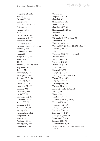气同宗教评除

Fengxiang (SN): 160 Fenyang (SX): 213 Fuzhou (FJ): 500 Guangxi: 385 Guangzhou (GD): 113 Guizhou: 144 Haimen (JS): 42 Hainan: 11 Handan (Heb): 960 Hangzhou (ZJ): 300 Hanzhong (SN): 90 Heilongjiang: 230\* Hengshui (Heb): 400, 14 (May 6) Heze (SD): 106 Hohhot (NM): 149 Hunan: 60 Jiangmen (GD): 45 Jiangxi: 187 Jilin: 81\* Jinan (SD): 256, 12 (Pent.) Jingzhou (HB): 15 Jining (NM): 120 Jinzhong (SX): 50 Kaifeng (Hen): 184 Kunming (YN): 140 Lanzhou (GS): 71 Leshan (SC): 316 Liaocheng (SD): 93 Liaoning: 902 Linfen (SX): 122 Linyi (SD): 996 Luoyang (Hen): 86 Meizhou (GD): 165\* Minbei (FJ): 37 Mindong (FJ): 26 Nanchong (SC): 500 Nanjing (JS): 75 Nanyang (Hen): 602 Ningbo (ZJ): 392 Ningxia: 32 Pingliang (GS): 35 Puyang (Hen): 130 Qingdao (SD): 83

Qinghai: 16 Sanyuan (SN): 330 Shanghai: 87\* Shangqiu (Hen): 137 Shantou (GD): 25 Shenzhen (GD): 98 Shijiazhuang (Heb): 61 Shuozhou (SX): 233 Suzhou (JS): 32 Taiyuan (SX): 559, 45 (Dec. 30) Taizhou (ZJ): 40 Tangshan (Heb): 378 Tianjin: 338\*, 243 (May 28), 270 (Dec. 17) Tianshui (GS): 107 Tibet: 11 Wanzhou (CQ): 500, 80 (Christ.) Weifang (SD): 39 Weinan (SN): 118 Wenzhou (ZJ): 859 Wuhan (HB): 150 Xi'an (SN): 233 Xiamen (FJ): 110 Xiangfan (HB): 24 Xichang (SC): 106, 15 (Christ.) Xingtai (Heb): 1,472 Xinjiang [Urumqi]: 35 Xinxiang (Hen): 68 Xinyang (Hen): 94 Xuzhou (JS): 210, 16 (Pent.) Yan'an (SN): 411 Yantai (SD): 7 Yanzhou (SD): 207 Yibin (SC): 40, 97 (Christ.) Yichang (HB): 40 Yuncheng (SX): 157 Zhangjiakou (Heb): 34 Zhanjiang (GD): 100 Zhaotong (YN): 20 Zhengzhou (Hen): 60 Zhoucun (SD): 264 Zhouzhi (SN): 470 Zhumadian (Hen): 120

<sup>\*</sup> Statistics available for only some parishes of the diocese.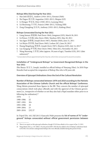#### **Bishops Who Died During the Year 2011**

- 1. Hao Jinli 郝进礼, Andrew (1916–2011), Xiwanzi (Heb)
- 2. Hu Daguo 胡大国, Augustine (1922–2011), Shiqian (GZ)
- 3. Li Hongye 李宏业, Peter (1920–2011), Luoyang (Hen)
- 4. Lü Shouwang 吕守旺, Francis (1966–2011), Yichang (HB)
- 5. Zong Changfeng 宗长风, Anthony (1932–2011), Kaifeng (Hen)

#### **Bishops Consecrated During the Year 2011**

- 1. Liang Jiansen 梁建森, Paul (born 1964), Jiangmen (GD), March 30, 2011
- 2. Lü Peisen 吕培森, John (born 1966), Yanzhou (SD), May 20, 2011
- 3. Sun Jigen 孙继根, Joseph (born 1967), Handan (Heb), June 21, 2011
- 4. Lei Shiyin 雷世银, Paul (born 1963), Leshan (SC), June 29, 2011\*
- 5. Huang Bingzhang 黄炳章, Joseph (born 1967), Shantou (GD), July 14, 2011\*
- 6. Luo Xuegang 罗雪刚, Peter (born 1964), Yibin (SC), November 30, 2011
- 7. Wang Ruowang 王若望, John (approx. 50 years of age), Tianshui (GS), 2011 (date  $unknown)^{31}$

\* Consecrated without appointment by the Holy See, which then announced his excommunication.

#### **Installation of "Underground Bishops" as Government Recognized Bishops in the Year 2011**

Zhu Baoyu 朱宝玉, Joseph, installed as official bishop of Nanyang (Hen). In 2010 Pope Benedict had accepted the resignation of Bishop Zhu who is 90 years old.

#### **Overview of Episcopal Ordinations Since the End of the Cultural Revolution**

## **Number of Bishops consecrated between 1979 and 2010 according to the Patriotic Association of the Chinese Catholic Church and the official Bishops' Conference.**  Wang Meixiu presented these figures in the BB. They concern the number of episcopal

consecrations which took place officially and with the approval of the Chinese government [i.e., irrespective of whether or not they also had a Papal mandate either prior to or following the ordination]:<sup>32</sup>

| 1979:      | 1      |
|------------|--------|
| 1980-1986: | 22     |
| 1987-1992: | $30+$  |
| 1993-1998: | 18     |
| 1999-2004: | 23     |
| 2005-2010: | [25]27 |

In *Tripod* (No. 163, Fall 2011) Giancarlo Politi presents the **list of names of 75 "underground" bishops consecrated without official government permission between** 

<sup>31</sup> There is no report on this episcopal ordination, though *UCAN* does allude to it in a report of Jan. 11, 2012.

<sup>32</sup> Wang Meixiu 2011, p. 119, Table 2. For the period 2005–2010 she has added to the 25 bishops' ordinations listed in PA-BiCo two [former underground] bishops who were officially installed during this period of time.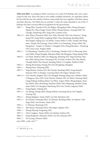**1981 and 2002.** According to Politi, one knows of a total of 82 bishops who were consecrated in this way. Since this data is not readily available elsewhere, we reproduce below his list with the year, the number of those consecrated that year, together with their names and their dioceses. On Politi's list, an asterisk (\*) after the name identifies 6 out of the 75 bishops who later received official recognition by the government.

- 1981: 7 Wang Milu, Tianshui (GS); Jia Zhiguo, Zhengding (Heb); Zhang Chenguo, Siping (JL); Zhou Fangji, Yixian (Heb); Zhang Huaixin, Anyang (Heb); Yu Chengti, Hanzhong (SN); Yang Libo, Lanzhou (GS).
- 1982: 15 Min Xilian, Zhaoxian (Heb); Fan Yufei, Zhouzhi (SN); Sun Yuanmo\*, Hongdong (SX); Song Weili, Langfang (Heb); Chen Jianzhang, Baoding (Heb); Han Jingtao, Siping (JL); Liu Shuhe, Yixian (Heb); Li Side, Tianjin; Shi Hongzhen, Tianjin; Shi Enxiang, Yixian (Heb); Liu Guandong, Yixian (Heb); Shi Hongchen\*, Tianjin; Li Weidao\*, Changzhi (SX); Zheng Shouduo\*, Yuncheng (SX); Xiao Liren, Xingtai (Heb).
- 1983: 5 Lu Zhensheng, Tianshui (GS); Li Xinzheng, Tianshui (GS); Li Zhenrong, Xianxian (Heb); Wang Chonglin, Zhaoxian (Heb); Ma Zhongmu, Otoqe Qianqi (NM).
- 1984: 8 Liu Hede, Hankou (HB); Xie Shiguang, Mindong (FJ); Yang Xiaohuai, Hankou (HB); Meng Ziwen, Nanning (GX); Ye Ershi, Fuzhou (FJ); Hao Zhenli, Chongli (Heb); Zhu Yousan, Baoding (Heb); Li Congzhe, Hohhot (NM).
- 1985: 2 Huang Shoucheng, Funing (FJ); Fan Zhongliang, Shanghai.
- 1986: 1 Zhang Boren, Hanyang (HB).
- 1987: 5 Yang Shudao, Fuzhou (FJ); Shi Chunjie, Baoding (Heb); Zong Huaide\*, Sanyuan (SN); Li Hongye, Luoyang (Hen); Hu Daguo, Shiqian (GZ).
- 1989: 13 Guo Wenzhi, Qiqihar (HL); Pei Shangde, Beijing; Jiang Liren, Hohhot (NM); Li Bingyao, Heze (SD); Yuan Wenzai, Haimen (JS); An Shi'en, Daming (Heb); Liang Xisheng, Kaifeng (Hen); Liu Difen, Anguo (Heb); Zhang Jingmu, Xuanhua (Heb); Zhao Zhendong, Xuanhua (Heb); Han Dingxiang, Handan [Yongnian] (Heb); Yu Chengxin, Hanzhong (SN); Gao Yuchen, Jingxian (Heb).
- 1990:  $1 \text{Zeng Jingmu}$ , Yujiang (JX).
- 1991: 3 Gu Zheng, Xining (QH); Zhang Weizhu, Xinxiang (Hen); Xie Tingzhe, Urumqi (XJ).
- 1992: 2 Zhang Qingtian, Yixian (Heb); Lin Xili, Wenzhou (ZJ).
- 1993: 4 Jin Dechen, Nanyang (Hen); Su Zhemin, Baoding (Heb); An Shuxin\*, Baoding (Heb); Gao Kexian, Yantai (SD).
- 1994: 1 Li Zhiyuan, Shenyang (LN).
- 1995: 2 Zhu Baoyu, Nanyang (Hen); Wei Jingyi, Qiqihar (HL).
- 1996: 1 Zhang Zhiyong, Fengxiang (SN).
- 1997: 2 Chen Cangbao, Yixian (Heb); Lin Jiashan, Fuzhou (FJ).
- 2000: 2 Jiang Mingyuan, Zhaoxian (Heb); Lan Shi, Sanyuan (SN).
- 2002: 1 Yao Liyang, Xiwanzi (Heb).
- since 2003: "only a few."33

<sup>33</sup> Politi 2011, pp. 11-16.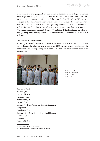气同宗教评除 In the same issue of *Tripod*, Anthony Lam indicates that some of the bishops consecrated under Pope Pius XII (1949–1955), and who were active in the official Church, also performed episcopal consecrations in secret. Bishop Han Tingbi of Hongdong (SX), e.g., who belonged to the official Church, secretly consecrated four bishops, who some years later –

between the middle of the 1980s and the beginning of the 1990s – were officially installed in their dioceses. According to Lam, observers have estimated that there were more than 80 secret episcopal consecrations between 1980 and 1993 (N.B. These figures deviate from those given by Politi, which goes to show just how difficult it is to obtain reliable statistics in this area).<sup>34</sup>

#### **Ordinations to the Priesthood**

According to the official statistics (PA-BiCo) between 2005–2010 a total of 300 priests were ordained. The following figures for the year 2011 are incomplete (statistics from the underground are lacking, among other things). The numbers are lower than those of the previous year.35



Ordination to the priesthood in Handan on March 25, 2011. Photo: *xdo*.

Bameng (NM): 2 Haimen (JS): 2 Handan (Heb): 6 Hengshui (Heb): 2 Jinzhong (SX): 5 Linyi (SD): 2 Minbei (FJ): 1 (by Bishop Cai Bingrui of Xiamen) Ningbo (ZJ): 1 Qingdao (SD): 1 Shantou (GD): 3 (by Bishop Shen Bin of Haimen) Taizhou (ZJ): 3 Yan'an (SN): 3 Yanzhou (SD): 1

<sup>34</sup> See Lam 2011, pp. 27-28 and 23.

<sup>35</sup> Figures according to reports in *xdb*, *xdo*, *fi*, and *UCAN*.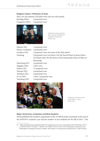#### **Religious Sisters: Profession of Vows**

Here, too, the statistics (all taken from *xdo*) are only partial.

Baoding (Heb): 2 perpetual vows Cangzhou (Heb): 2 perpetual vows



Professed sisters wearing their crowns of flowers in Cangzhou (Xianxian). Photo: *xdo*.

| Haimen (JS):      | 1 perpetual vows                                                   |
|-------------------|--------------------------------------------------------------------|
| Hunan, Laohekou:  | 2 perpetual vows                                                   |
| Lanzhou $(GS)$ :  | 5 perpetual vows (Servants of the Holy Spirit)                     |
| Liaoning:         | 9 perpetual vows (of whom 5 for the Sacred Heart of Jesus Sisters  |
|                   | in Fushun and 4 for the Sisters of the Immaculate Heart of Mary in |
|                   | Shenyang)                                                          |
| Nanchong (SC):    | 4 perpetual vows                                                   |
| Qingdao (SD):     | 2 first vows                                                       |
| Suzhou (JS):      | 15 temporal vows                                                   |
| Taiyuan (SX):     | 4 perpetual vows                                                   |
| Wenzhou (ZJ):     | 4 perpetual vows                                                   |
| $Xi'$ an $(SN)$ : | 1 first, 5 perpetual vows                                          |
| Yuncheng (SX):    | 5 perpetual vows                                                   |



Profession of vows in Xi'an on October 21, 2011. Photo: *xdo*.

#### **Major Seminaries: Graduates and New Students**

*Xinde* published the numbers of graduates of the 10 official major seminaries at the end of the 2010/2011 academic year and the number of new students for the fall of 2011.<sup>36</sup> The

<sup>36</sup> "Hebei shenzhexueyuan juxing biye dianli. Jin xia guonei qi suo da xiu¬yuan gongyou biye daxiusheng 110 wei" 河北神哲学院举行毕业典礼. 今夏国内七所大修院共有毕业大修生110位 (Graduation Ceremonies at the Philosophical-Theological Seminary of Hebei. This Summer 110 Seminarians Graduated from 7 Major Seminar-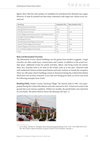figures show that the total number of candidates for priesthood has declined once again. However, it must be pointed out that many seminaries only begin new classes every second year.

| Seminary                                             | Graduates 2011 | New Students 2011 |
|------------------------------------------------------|----------------|-------------------|
| Beijing (Diocesan seminary)                          | 4              | 9                 |
| Beijing (National seminary)                          | none           | 9                 |
| Jilin (Diocesan seminary)                            | none           | none              |
| Pixian (Regional Seminary Sichuan / Southwest China) | 24             | 8                 |
| Shanghai Sheshan (Regional seminary)                 | 14             | 9                 |
| Shenyang Seminary                                    | 9              | none              |
| Shijiazhuang (Hebei Regional Seminary)               | 26             | 31                |
| Taiyuan (Shanxi Regional Seminary)                   | none           | none              |
| Wuhan (Regional Seminary Central and South China)    | 19             | 13                |
| Xi''an (Shaanxi Regional Seminary)                   | 14             | none              |
| Total                                                | 110            | 79                |

#### **New and Renovated Churches**

The dimensions of new church buildings run the gamut from modest to gigantic. Larger churches are often multi-story constructions and contain, in addition to the actual worship space, additional rooms for parish activities, offices, and living rooms for priests. Most new churches tend to be built in the Gothic style as in the past. Churches built with traditional Chinese architectural features and style continue to remain the exception. There are still many church buildings seized or destroyed during the Cultural Revolution which have not yet been returned, or are only now being given back, as can be seen from the following examples from *Xinde*.

**Baoding (Heb),** Xushui County, Suicheng Village: The church, built in 1901, was expropriated during the Cultural Revolution and only returned in 2011. It had to be razed to the ground due to its ruinous condition. Within two months, the parish built a new church by its own hands. The photo (below) shows the blessing (*xdo* Sept. 1).



ies in China), *xdb* June 22; "Quanguo: liuzuo daxiuyuan gong zhaosheng 79 ren" 全国: 六座大修院共招生79人 (For All of China: 6 Major Seminaries Accepted a Total of 79 New Students), *xdb* Sept. 8.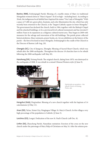**Baotou (NM),** Ershisiqingdi Parish: Blessing of a marble statue of Mary in traditional Mongolian women's dress in "Mary's Square" (8.42 m high – including base). According to *Xinde*, the indigenous local faithful have baptized the statue "Our Lady of Mongolia." With a space of 7,488 m2, green plots, fountain, and color illumination the site, which has only recently been returned to the Church, is the "largest Catholic square in Inner Mongolia." The government has declared the church, built in 1904, together with the Bishop's Chapel and the attached buildings, to be a provincial level cultural monument and has invested 3 million Yuan in its expansion as a religious-cultural tourist area. They began in 2009 with measures for the salvage and renovation of the old buildings. The parish priest collected historical photos, Mass vestments, prayer books, etc. for an exhibition on the history of the parish – the first of its kind in Inner Mongolia. Ershisiqingdi is the cradle of the Church in the Diocese of Baotou (*xdb* Aug. 20).

**Chengdu (SC),** City of Jiangyou, Zhongba: Blessing of Sacred Heart Church, which was rebuilt after the 2008 earthquake. Throughout the diocese 18 churches have to be rebuilt following the 2008 earthquake (*xdb* May 20).

**Hanzhong (SX),** Xixiang Parish: The original church, dating from 1870, was destroyed in the earthquake of 2008. It was rebuilt in a mixed Chinese/Western style (*fi* June 9).



Stylistically an exception – the rebuilt Church of Xixiang. Photo: *xdo.*

**Hengshui (Heb),** Ping'andian: Blessing of a new church together with the baptism of 14 catechumens (*fi* May 11).

**Jinan (SD),** Tai'an, Xintai City, Ningjiagou Village: St. Mary's Church. In this village a very high percentage of the population is Catholic (*fi* June 5).

**Lanzhou (GS),** Longxi: Dedication of the new St. Paul's Church (*xdb* Dec. 8).

**Linfen (SX),** Zhaocheng Parish, Nanyidian outstation: Erection of the cross on the new church under the patronage of Mary Help of Christians on May 24. After the solemn pon-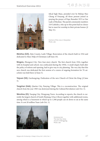

tifical high Mass, presided over by Bishop Huo Cheng of Fenyang, all those present joined in praying the prayer of Pope Benedict XVI to Our Lady of Sheshan. The parish community numbers 210 Catholics, who up to this point had no choice but to meet for worship in their private homes (*fi* May 31).

Erection of the cross in Nanyidian. Photo: *xdo*.

**Meizhou (GD),** Zijin County, Lashi Village: Renovation of the church built in 1916 and dedicated to Mary Help of Christians (*xdb* June 10).

**Ningxia,** Zhongwei City: New four-story church. The first church from 1924, together with its hospital and school, was confiscated during the 1950s. A small chapel, built after the policy of reform and opening, had to give way to city planning. The very day that this new church was dedicated the first session of a course of ongoing formation for 70 catechists was held there (*fi* June 5).

**Taiyuan (SX),** Guchengying: Dedication of the new Church of Christ the King (*fi* June 5).

**Tangshan (Heb),** Qian'an City, Panying Village: This is a reconstruction. The original church from the year 1905 was destroyed during the Cultural Revolution (*xdo* Oct. 5).

**Wenzhou (ZJ),** Yueqing City, Wengyang Town: According to reports, the church is currently the largest church of South Zhejiang. It has 4 floors together with additional rooms, among which is a basement in which up to 1,500 people can sit down to eat at the same time. It cost 20 million Yuan (*xdo* Oct. 1).



Immense size: The new four-story church in Wengyang. Photo: *xdo*.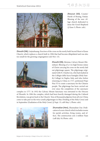

**Zhoucun (SD),** County/ Parish of Boxing, Futian: Blessing of the new village church dedicated to Jesus the Good Shepherd (*fi* June 5; Photo: *xdo*).

**Zhouzhi (SN),** Liujiazhuang: Erection of the cross on the newly built Sacred Heart of Jesus Church, which replaces a church built in 1984 that had become dilapidated and was also too small for the growing congregation (*xdo* Nov. 13).



**Zhouzhi (SN),** Meixian, Calvary Mount (Shizishan): Blessing of a 4 m high bronze statue of Christ carrying his cross on the newly laid out pilgrimage square. The pilgrimage originated with Fr. Charles Liu, who had studied at the Collegio della Sacra Famiglia (Holy Family College) in Naples, Italy, and who, before returning to China in 1717, petitioned Pope Pius VI to create a sanctuary for the Chinese people. The pilgrimage has been carried out ever since the completion of the sanctuary

complex in 1777. In 1932 the Calvary Mount Sanctuary was entrusted to the Diocese of Zhouzhi. In 1984 the complex, which had been heavily damaged during the Cultural Revolution, was given back to the Church. Tens of thousands pilgrims from all over China come to take part in the twice yearly pilgrimages in May (Finding of the Holy Cross) and in September (Exaltation of the Holy Cross) (*fi* Sept. 15; *xdb* May 1; Photo: *xdo*).



**Zhumadian (Hen),** Zhumadian City: Dedication of a new church which includes rooms for parish activities, living rooms, and offices. The construction cost 2 million Yuan (*xdb* July 10; Photo: *xdo*).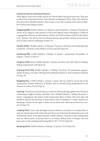#### **Statistical Data for Individual Dioceses**

These figures come from media reports on Church affairs during the past year. They give an idea of the proportional sizes of the dioceses of Mainland China. Only a few dioceses have more than 100,000 Catholics. There is also a very wide variation in the ratios of faithful to priests and religious sisters.

**Fengxiang (SN):** 20,000 Catholics in 4 deaneries and 30 parishes, [1 bishop,] 38 priests (of whom 18 are religious order priests) as well as 60 religious sisters belonging to 3 different congregations (Franciscan Missionaries of Mary, Sacred Heart Sisters and the Little Sisters of St. Thérèse). The diocese has two Marian shrines and provides various social services such as clinics and an orphanage (*fi* Sept. 19).

**Handan (Heb):** 130,000 Catholics, [2 bishops,] 75 priests, 130 Sisters of the Holy Spirit the Comforter, 110 Sisters of the Mother of Our Lord (*xdb* April 10).

**Hanzhong (SN):** 21,000 Catholics, 2 bishops, 33 priests, 7 seminarians, 20 parishes, 22 chapels, 3 clinics (*fi* June 9).

**Jiangmen (GD):** almost 20,000 Catholics, 7 priests, 26 sisters, since 2011 there is a bishop, Bishop Liang Jiansen (*xdb* April 10).

**Jinzhong (Yuci) (SX):** 20,000 Catholics, [1 bishop,] 30 priests, 29 seminarians, approximately 30 sisters, one clinic offering both traditional Chinese as well as Western medicine (*fi* Aug. 30).

**Kangding (SC):** 13,000 Catholics, 3 priests, 2 sisters. The see, which is vacant, lies in the Autonomous Tibetan Prefecture of Kardze, and is currently being administered by the Diocese of Leshan (*UCAN* Sept. 6).

**Liaoning:** The Diocese of Liaoning was created in 1983 by placing together the 4 Dioceses of Shenyang, Yingkou, Fushun, und Rehe. Over 100,000 Catholics, 1 bishop, 90 priests, 2 sisters' congregations (the Sisters of the Immaculate Heart of Mary with more than 100 members and the Sacred Heart of Jesus Sisters with 70 members), 1 major seminary in Shenyang, 5 homes for the aged, 3 clinics run by sisters and 3 diocesan social service centers (*fi* June 27).

**Luoyang (Hen):** Due to the shortage of priests, finances, and places of worship (there is only one church open in the entire diocese) this is one of the least developed dioceses in all of Mainland China. It has approximately 10,000 Catholics, 18 priests in the underground and one official priest. At present there is no bishop, Bishop Peter Li Hongye who had been active in the underground having died in 2011 (*UCAN* April 26).

**Nanyang (Hen):** 20,000 Catholics, 2 bishops, 21 priests (*UCAN* June 30).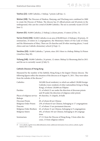**Taizhou (ZJ):** 5,000 Catholics, 1 bishop, 7 priests (*xdb* Jan. 1).

**Wuhan (HB):** The Dioceses of Hankou, Hanyang, and Wuchang were combined in 2000 to create the Diocese of Wuhan. The diocese has 25 official priests and 40 priests in the underground, who care for a total of 20,000 Catholics. The see is currently vacant (*UCAN* June 1).

**Xiamen (FJ):** 30,000 Catholics, [1 bishop,] a dozen priests, 15 sisters (*fi* Dec. 5).

**Yan'an (Yulin) (SN):** 50,000 Catholics in an area of 80,000 km2, [2 bishops,] 20 priests, 10 seminarians, 24 sisters in 2 congregations, the Missionary Sisters of Our Lady of China and the Missionaries of Mary. There are 20 churches and 20 other meeting places, 3 rural clinics and one Catholic elementary school (*fi* Sept. 1).

**Yanzhou (SD):** 10,000 Catholics, 7 priests, since 2011 there is a bishop, Bishop Lü Peisen (*AsiaNews* May 20).

**Yichang (HB):** 30,000 Catholics, 24 priests, 12 sisters. Bishop Lü Shouwang died in 2011 and the see is currently vacant (*fi* July 5).

#### **Catholic Diocese of Hong Kong**

Measured by the number of the faithful, Hong Kong is the largest Chinese diocese. The following figures reflect the situation of the diocese as of August 31, 2011. They were taken from the website of the diocese.37

| Catholics                   | 363,000 (local residents), to which are added 138,000 foreign  |
|-----------------------------|----------------------------------------------------------------|
|                             | Catholics (non-residents of other nationalities living in Hong |
|                             | Kong), of whom 120,000 are Filipino                            |
| Parishes                    | 51, of which 21 are under the direction of diocesan priests    |
|                             | and 30 under the direction of religious order priests          |
| Places of religious service | 40 churches, 31 chapels, 26 halls                              |
| <b>Bishops</b>              | 2                                                              |
| Diocesan Priests            | 69, of whom 68 are Chinese                                     |
| Religious Order Priests     | 239, of whom 63 are Chinese, belonging to 17 congregations     |
| Deacons                     | 17, of whom 15 are permanent deacons                           |
| Religious Order Brothers    | 65, of whom 31 are Chinese, belonging to 9 congregations       |
| Religious Sisters           | 491, of whom 345 are Chinese, belonging to 28 congrega-        |
|                             | tions                                                          |
| Seminarians                 | 27 (11 from the Diocese of Hong Kong, 3 from other dio-        |
|                             | ceses, 13 from religious orders)                               |

<sup>37</sup> www.catholic.org.hk/v2/en/cdhk/a08statistics.html, additional information from archives.catholic.org.hk/ Statistic/2011-C.htm.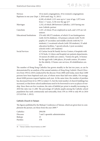| <b>Novices</b>                  | 10 in men's congregations, 18 in women's congregations         |
|---------------------------------|----------------------------------------------------------------|
|                                 | Baptisms in one year (Sept. 1, 2010 until Aug. 31, 2011)       |
|                                 | 6,249, of which 1,121 were up to 1 year of age, 1,972 were     |
|                                 | from $1-7$ years, 3,156 over the age of 7                      |
| Marriages                       | 1,332, of which 288 between Catholics, 1,033 having one        |
|                                 | non-Catholic partner                                           |
| Catechists                      | 1,547, of whom 39 are employed as such, and 1,535 are vol-     |
|                                 | unteers                                                        |
| <b>Educational Institutions</b> | 276 with 189,575 students, of which 33 are kindergartens       |
|                                 | (with 10,554 children), 110 primary schools (with 70,181)      |
|                                 | pupils), 87 secondary and middle schools (with 84,713          |
|                                 | students), 2 vocational schools (with 530 students), 35 adult  |
|                                 | education facilities, 7 special schools, 2 post-secondary      |
|                                 | schools (with 1,445 students)                                  |
| Social Services                 | 42 Caritas Social & Family Service Centers, 6 hospitals with   |
|                                 | 2,722 beds, 12 clinics and hospital out-patients departments,  |
|                                 | 16 nursery & child care centers, 7 homes for girls, 14 homes   |
|                                 | for the aged with 1,666 places, 20 youth centers, 20 centers   |
|                                 | for the elderly, 13 home-care services, 28 rehabilitation cen- |
|                                 | ters                                                           |

The number of Hong Kong Catholics has grown steadily in the last ten years, as can be demonstrated by an analysis of the annual statistics of *Hong Kong Catholic Church Directory* from 1954 to 2010 conducted by the diocese: From 2008 until today, more than 5,000 persons have been baptized each year, of whom more than half were adults. On average, about 8,000 persons request baptism each year. At the same time, the number of parishes has decreased from 62 in 1995 to today's 51, but the total number of church buildings has increased, so that fewer school auditoriums need to be borrowed to serve as places of worship. Since there are few vocations, the ratio of faithful per priest is steadily increasing; in 2010 the ratio was 1:1,200. The percentage of Catholic pupils among the Catholic school population has sunk continuously and noticeably, from 33% in 1958 to only 8% in 2010 (*UCAN* Feb. 1, 2012).

#### **Catholic Church in Taiwan**

The figures published by the Bishops' Conference of Taiwan, which are given here to complement the picture, are those from the year 2009.<sup>38</sup>

| Catholics       | 299,938                          |
|-----------------|----------------------------------|
| <b>Dioceses</b> | 7 and 1 apostolic administration |
| <b>Bishops</b>  | 15                               |
| Parishes        | 378                              |

<sup>38</sup> "Taiwan Catholic Church Statistics in 2009."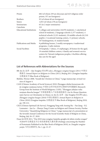| Priests                         | 682 (of whom 259 are diocesan and 423 religious order          |
|---------------------------------|----------------------------------------------------------------|
|                                 | priests; 357 are foreigners)                                   |
| <b>Brothers</b>                 | 93 (of whom 60 are foreigners)                                 |
| <b>Sisters</b>                  | 1,053 (of whom 278 are foreigners)                             |
| Seminarians                     | 65 (in 2 major seminaries)                                     |
| Catechists                      | 321                                                            |
| <b>Educational Institutions</b> | 5 colleges and universities (44,976 students), 1 catechetical  |
|                                 | school (8 students), 2 language schools (1,577 students), 4    |
|                                 | technical schools (3,321 students), 29 middle schools (61,510  |
|                                 | pupils), 2 vocational training centers, 11 primary schools,    |
|                                 | 167 kindergartens, 41 student hostels                          |
| Publications and Media          | 8 publishing houses, 2 weekly newspapers, 4 audiovisual        |
|                                 | programs, 2 radio stations                                     |
| <b>Social Facilities</b>        | 10 hospitals, 7 clinics, 15 orphanages, 20 homes for the aged, |
|                                 | 19 retarded children centers, 4 family and women's service     |
|                                 | centers for Taiwan's indigenous peoples, 4 facilities offering |
|                                 | day care for the aged                                          |

#### **List of References with Abbreviations for the Sources**

- BB: Jin Ze 金泽 Qiu Yonghui 邱永辉 (eds.), *Zhongguo zongjiao baogao (2011)* 中国宗 教报告 *Annual Report on Religions in China (2011)*, Beijing 2011 (Zongjiao lanpishu 宗教蓝皮书 Blue Book of Religions).
- Bürklin, Werner 2008, "Anzahl der Christen in China," 5 page manuscript, revised version of August 4.
- CASS [Chinese Academy of Social Sciences] 2010: Zhongguo shehui kexueyuan shijie zongjiao yanjiusuo ketizu 中国社会科学院世界宗教研究所课题组 (Research Group from the Institute of World Religions, CASS), "Zhongguo jidujiao ruhu wenjuan diaocha baogao" 中国基督教入户问卷调查报告 (An In-House Questionnaire Survey on Christianity in China), in: Jin Ze 金泽 – Qiu Yonghui 邱永辉 (eds.), *Zhongguo zongjiao baogao (2010)* 中国宗教报告 *Annual Report on Religions in China (2010)* (Zongjiao lanpishu 宗教蓝皮书 Blue Book of Religions), Beijing 2010, pp. 190-212.
- CSLS [Chinese Spiritual Life Survey]: Fenggang Yang with Anning Hu Fan Jiang R.J. Leamaster – Jun Lu – Zhenyu Tang (Center on Religion and Chinese Society, Purdue University), "Quantifying Religions in China," 5 page manuscript of a presentation at the Seventh Annual Conference for the Social Scientific Study of Religion in China, Beijing, July 26–27, 2010.
- Duan Qi 段琦 2011, "Dui 2010 nian zongjiao lanpishu gongbu de jidutu renshu yougan" 对2010年宗教蓝皮书公布的基督徒人数有感 (Feelings concerning the Number of Protestants Published in the Blue Book of Religions 2010), in: *Dangdai zongjiao yanjiu* 当代宗教研究, No. 1, pp. 21-27.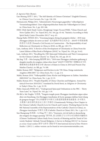*fi*: *Agenzia Fides* (Rome).

- Gao Shining 高师宁 2011, "The Self-Identity of Chinese Christians" (English/Chinese), in: *Chinese Cross Currents*, No. 3, pp. 126-130.
- Hetmanczyk, Philipp 2011, "Administrative Neuerungen gegenüber 'volksreligiösen Versammlungsstätten': Zum religionspolitischen Status der Volksreligion in China," in: *China heute*, No. 2, pp. 203-106.
- HSSC [Holy Spirit Study Centre, Hongkong]: Sergio Ticozzi PIME, "China Church and News Update 2011," in: *Tripod* 2012, No. 164, pp. 45-64, "Statistics According to Holy Spirit Study Centre (December 2011)" on p. 63.
- Huang Haibo 黄海波 2011, "Zouxiang jiangou zhong de gongmin shehui 2010 nian Zhongguo jidujiao de zeren yu fansi" 走向建构中的公民社会 – 2010年中国基督教 的责任与反思 (Toward a Civil Society in Construction – The Responsibility of and Reflection on Christianity in China in 2010), in: BB, pp. 128-172.
- Lam, Anthony 2010, "A Review of the Development of Christianity in China From the Latest Edition of Blue Book of Religions (2010)," in: *Tripod*, No. 159, pp. 54-62.
- Lam, Anthony 2011, "Recalling the 1981 Episcopal Ordinations and Their Consequences for the Chinese Catholic Church," in: *Tripod*, No. 163, pp. 20-33.
- Ma Jing 马景 Min Junqing 敏俊卿 2011, "2010 nian Zhongguo yisilanjiao gaikuang ji dangdai musilin de zongjiao cishan shiye fenxi" 2010年中国伊斯兰教概况及当代 穆斯林的宗教慈善事业分析 (Review of Islam in China in 2010 and Present-Day Muslim Charity), in: BB, pp. 74-100.
- Malek, Roman 2007, "Religionen und Kirchen in der VR China. Einige statistische Angaben 2006/2007," in: *China heute*, No. 1-2, pp. 2-6.
- Malek, Roman 2010, "Volksrepublik China: Kirche und Religionen in Zahlen. Statistiken 2009/2010," in: *China heute*, No. 1, pp. 22-33.
- Malek, Roman 2011, "People's Republic of China: Churches and Religions. Annual Statistical Overview 2010/2011," translated by David Streit, in: *Religions & Christianity in Today's China*, No. 1, pp. 32-59.
- Politi, Giancarlo PIME 2011, "Underground Episcopal Ordinations in the PRC Thirty Years Later," in: *Tripod*, No. 163, pp. 5-19.
- PA-BiCo: Ma Yinglin 马英林, "Tongxin tongde puxie Zhongguo tianzhujiao aiguo aijiao shiye xin bianzhang. Zai Zhongguo tianzhujiao di ba jie quanguo daibiao huiyi shang de gongzuo baogao" 同心同德谱写中国天主教爱国爱教事业新篇章. 在中国天 主教第八届全国代表会议上的工作报告 (Unanimously Writing a New Chapter in the Chinese Catholic Church's Love for Church and Country. Working Report for the 8th National Assembly of the Representatives of the Catholic Church in China), in: *Zhongguo tianzhujiao* 中国天主教 (Catholic Church in China) 2011, No. 1, pp. 6-13.
- Sun Shangyang 孙尚扬 Li Ding 李丁 2011, "Guoxuere, yiyi de kuifa yu daxuesheng dui zongjiao de xingqu quxiang" 国学热, 意义的匮乏与大学生对宗教的兴趣取向 (Chinese Traditional Culture Study Fever, Scarcity of Meaning and the Trend of University Students' Attitude Toward Religions: A Survey in Beijing [2011])," in: *Guoxue yu xixue: Guoji xuekan* 国学与西学: 国际学刊 *International Journal of Sino-Western Studies* 1 (2011) 1, online-version can be found at www.sinowesternstudies.com.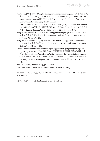- Sun Yiwei 孙轶玮 2007, "Dangdai Zhongguoren zongjiao xinyang diaocha" 当代中国人 宗教信仰调查 (Investigation into the Religious Belief of Today's Chinese) [in: *Liaowang dongfang zhoukan* 瞭望东方周刊 Feb. 8., pp. 28-33], taken here from www. lunwenw.net/Html/zhexuexg/093556411.html.
- "Taiwan Catholic Church Statistics in 2009" (Chinese/English), in: Taiwan diqu zhujiaotuan mishuchu 台灣地區主教團秘書處 (eds.), *Taiwan tianzhujiao shouce* 台灣天主 教手冊 *Catholic Church Directory Taiwan 2010*, Taibei 2010, pp. 69-70.
- Wang Meixiu 王美秀 2011, "2010 nian Zhongguo tianzhujiao guancha yu fenxi" 2010 年中国天主教观察与分析 (Observation and Analysis of Catholicism in China in 2010), in: BB, pp. 101-127.
- Wang Zhiyuan 王志远 2011, "Jiji wenjian de 2010 nian Zhongguo fojiao" 积极稳健 的2010年中国佛教 (Buddhism in China 2010: A Positively and Stably Developing Religion), in: BB, pp. 19-53.
- "Wang Zuo'an juzhang zuoke renminwang qiangguo luntan qiangdiao jiaqiang guanli cujin zongjiao hexie" 王作安局长作客人民网强国论坛强调加强管理促进宗教 和谐 (Bureau Director Wang Zuo'an While a Guest on the Strong Nation Forum on people.com.cn Stressed the Strengthening of Management and the Advancement of Harmony Between the Religions), in: *Zhongguo zongjiao* 中国宗教 2011, No. 3, pp. 4-7.

*xdb*: *Xinde* (Faith) (Shijiazhuang), print edition.

*xdo*: *Xinde* (Faith) (Shijiazhuang), online edition at www.xinde.org.

References to *Asianews*, *fi*, *UCAN*, *xdb*, *xdo*, *Xinhua* relate to the year 2011, unless otherwise indicated.

*Denise Perron* cooperated in the analysis of *xdb* und *xdo*.